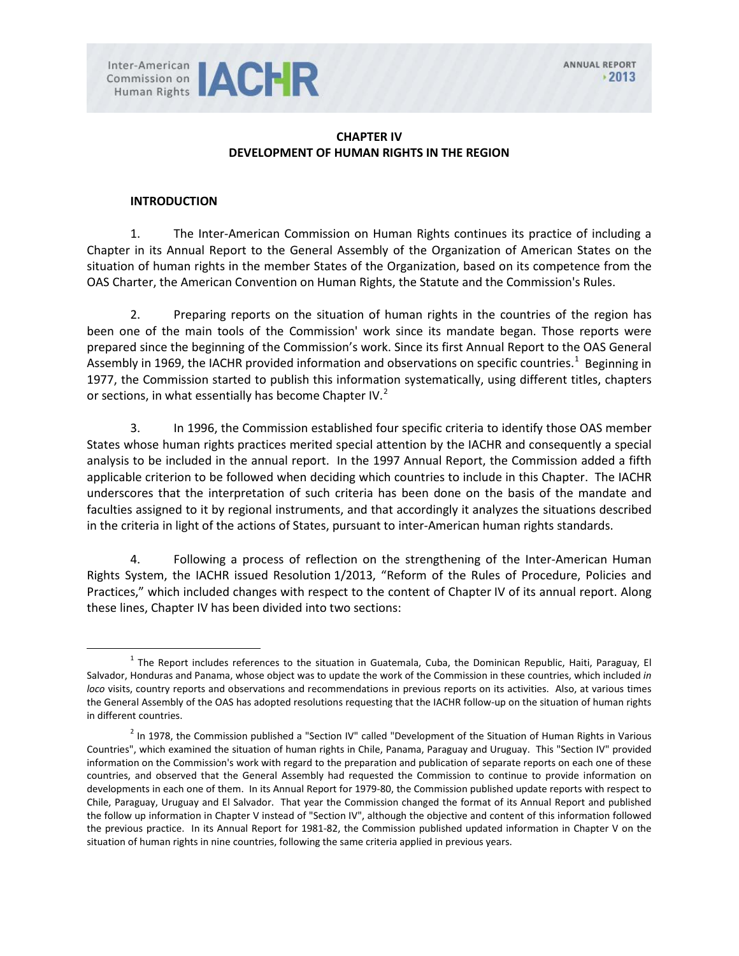

## **CHAPTER IV DEVELOPMENT OF HUMAN RIGHTS IN THE REGION**

#### **INTRODUCTION**

1. The Inter-American Commission on Human Rights continues its practice of including a Chapter in its Annual Report to the General Assembly of the Organization of American States on the situation of human rights in the member States of the Organization, based on its competence from the OAS Charter, the American Convention on Human Rights, the Statute and the Commission's Rules.

2. Preparing reports on the situation of human rights in the countries of the region has been one of the main tools of the Commission' work since its mandate began. Those reports were prepared since the beginning of the Commission's work. Since its first Annual Report to the OAS General Assembly in [1](#page-0-0)969, the IACHR provided information and observations on specific countries.<sup>1</sup> Beginning in 1977, the Commission started to publish this information systematically, using different titles, chapters or sections, in what essentially has become Chapter IV.<sup>[2](#page-0-1)</sup>

3. In 1996, the Commission established four specific criteria to identify those OAS member States whose human rights practices merited special attention by the IACHR and consequently a special analysis to be included in the annual report. In the 1997 Annual Report, the Commission added a fifth applicable criterion to be followed when deciding which countries to include in this Chapter. The IACHR underscores that the interpretation of such criteria has been done on the basis of the mandate and faculties assigned to it by regional instruments, and that accordingly it analyzes the situations described in the criteria in light of the actions of States, pursuant to inter-American human rights standards.

4. Following a process of reflection on the strengthening of the Inter-American Human Rights System, the IACHR issued Resolution 1/2013, "Reform of the Rules of Procedure, Policies and Practices," which included changes with respect to the content of Chapter IV of its annual report. Along these lines, Chapter IV has been divided into two sections:

<span id="page-0-0"></span> $1$  The Report includes references to the situation in Guatemala, Cuba, the Dominican Republic, Haiti, Paraguay, El Salvador, Honduras and Panama, whose object was to update the work of the Commission in these countries, which included *in loco* visits, country reports and observations and recommendations in previous reports on its activities. Also, at various times the General Assembly of the OAS has adopted resolutions requesting that the IACHR follow-up on the situation of human rights in different countries.

<span id="page-0-1"></span> $<sup>2</sup>$  In 1978, the Commission published a "Section IV" called "Development of the Situation of Human Rights in Various</sup> Countries", which examined the situation of human rights in Chile, Panama, Paraguay and Uruguay. This "Section IV" provided information on the Commission's work with regard to the preparation and publication of separate reports on each one of these countries, and observed that the General Assembly had requested the Commission to continue to provide information on developments in each one of them. In its Annual Report for 1979-80, the Commission published update reports with respect to Chile, Paraguay, Uruguay and El Salvador. That year the Commission changed the format of its Annual Report and published the follow up information in Chapter V instead of "Section IV", although the objective and content of this information followed the previous practice. In its Annual Report for 1981-82, the Commission published updated information in Chapter V on the situation of human rights in nine countries, following the same criteria applied in previous years.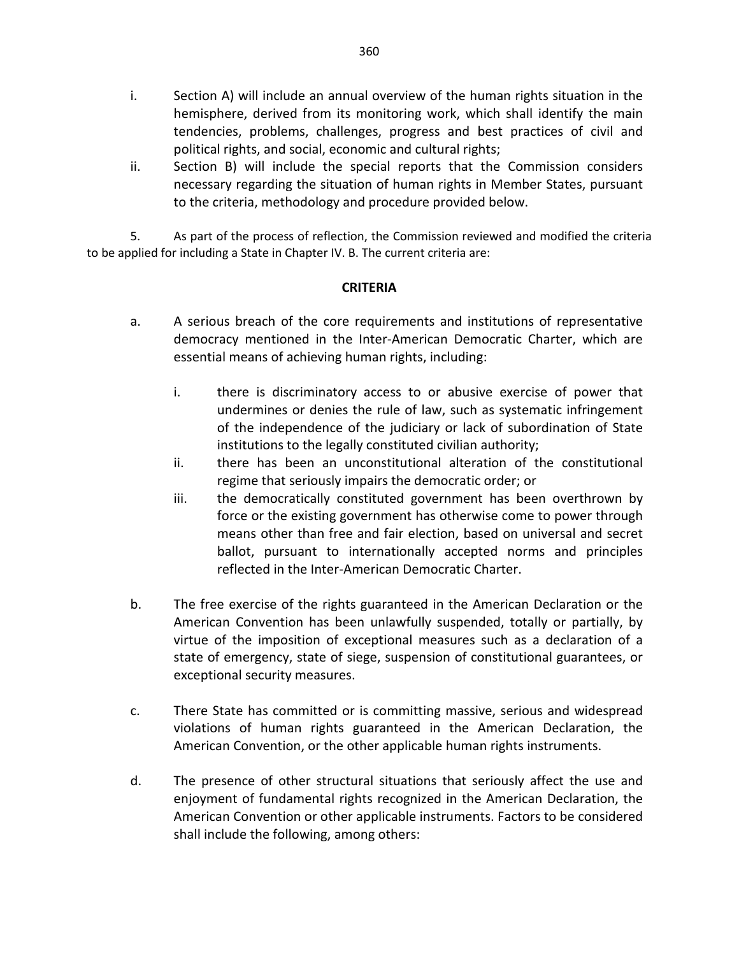- i. Section A) will include an annual overview of the human rights situation in the hemisphere, derived from its monitoring work, which shall identify the main tendencies, problems, challenges, progress and best practices of civil and political rights, and social, economic and cultural rights;
- ii. Section B) will include the special reports that the Commission considers necessary regarding the situation of human rights in Member States, pursuant to the criteria, methodology and procedure provided below.

5. As part of the process of reflection, the Commission reviewed and modified the criteria to be applied for including a State in Chapter IV. B. The current criteria are:

## **CRITERIA**

- a. A serious breach of the core requirements and institutions of representative democracy mentioned in the Inter-American Democratic Charter, which are essential means of achieving human rights, including:
	- i. there is discriminatory access to or abusive exercise of power that undermines or denies the rule of law, such as systematic infringement of the independence of the judiciary or lack of subordination of State institutions to the legally constituted civilian authority;
	- ii. there has been an unconstitutional alteration of the constitutional regime that seriously impairs the democratic order; or
	- iii. the democratically constituted government has been overthrown by force or the existing government has otherwise come to power through means other than free and fair election, based on universal and secret ballot, pursuant to internationally accepted norms and principles reflected in the Inter-American Democratic Charter.
- b. The free exercise of the rights guaranteed in the American Declaration or the American Convention has been unlawfully suspended, totally or partially, by virtue of the imposition of exceptional measures such as a declaration of a state of emergency, state of siege, suspension of constitutional guarantees, or exceptional security measures.
- c. There State has committed or is committing massive, serious and widespread violations of human rights guaranteed in the American Declaration, the American Convention, or the other applicable human rights instruments.
- d. The presence of other structural situations that seriously affect the use and enjoyment of fundamental rights recognized in the American Declaration, the American Convention or other applicable instruments. Factors to be considered shall include the following, among others: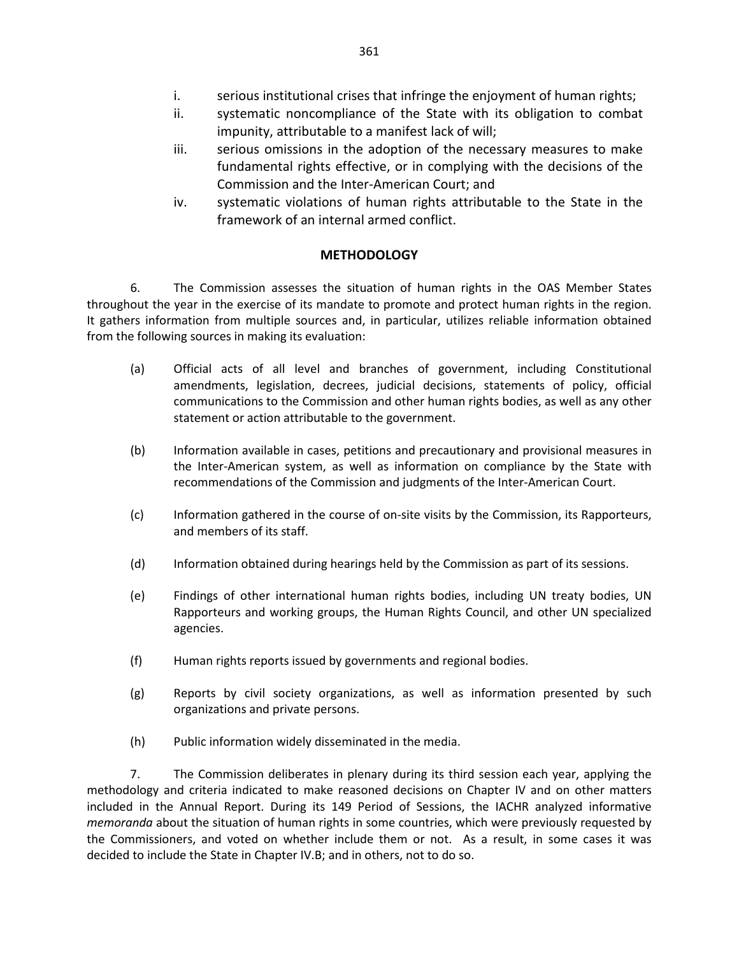- i. serious institutional crises that infringe the enjoyment of human rights;
- ii. systematic noncompliance of the State with its obligation to combat impunity, attributable to a manifest lack of will;
- iii. serious omissions in the adoption of the necessary measures to make fundamental rights effective, or in complying with the decisions of the Commission and the Inter-American Court; and
- iv. systematic violations of human rights attributable to the State in the framework of an internal armed conflict.

## **METHODOLOGY**

6. The Commission assesses the situation of human rights in the OAS Member States throughout the year in the exercise of its mandate to promote and protect human rights in the region. It gathers information from multiple sources and, in particular, utilizes reliable information obtained from the following sources in making its evaluation:

- (a) Official acts of all level and branches of government, including Constitutional amendments, legislation, decrees, judicial decisions, statements of policy, official communications to the Commission and other human rights bodies, as well as any other statement or action attributable to the government.
- (b) Information available in cases, petitions and precautionary and provisional measures in the Inter-American system, as well as information on compliance by the State with recommendations of the Commission and judgments of the Inter-American Court.
- (c) Information gathered in the course of on-site visits by the Commission, its Rapporteurs, and members of its staff.
- (d) Information obtained during hearings held by the Commission as part of its sessions.
- (e) Findings of other international human rights bodies, including UN treaty bodies, UN Rapporteurs and working groups, the Human Rights Council, and other UN specialized agencies.
- (f) Human rights reports issued by governments and regional bodies.
- (g) Reports by civil society organizations, as well as information presented by such organizations and private persons.
- (h) Public information widely disseminated in the media.

7. The Commission deliberates in plenary during its third session each year, applying the methodology and criteria indicated to make reasoned decisions on Chapter IV and on other matters included in the Annual Report. During its 149 Period of Sessions, the IACHR analyzed informative *memoranda* about the situation of human rights in some countries, which were previously requested by the Commissioners, and voted on whether include them or not. As a result, in some cases it was decided to include the State in Chapter IV.B; and in others, not to do so.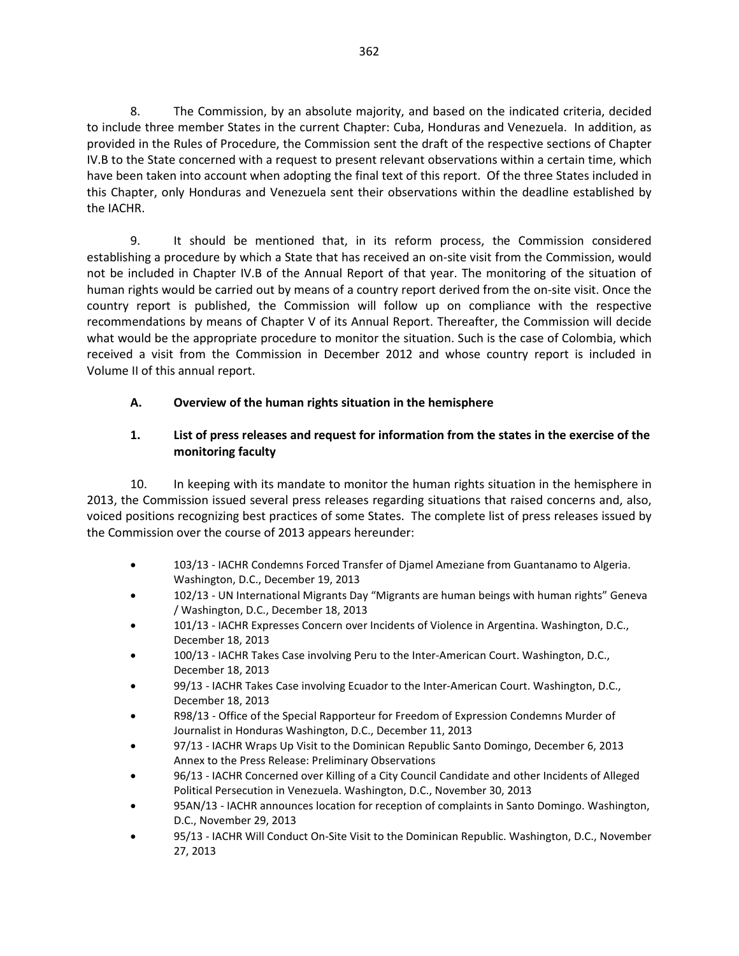8. The Commission, by an absolute majority, and based on the indicated criteria, decided to include three member States in the current Chapter: Cuba, Honduras and Venezuela. In addition, as provided in the Rules of Procedure, the Commission sent the draft of the respective sections of Chapter IV.B to the State concerned with a request to present relevant observations within a certain time, which have been taken into account when adopting the final text of this report. Of the three States included in this Chapter, only Honduras and Venezuela sent their observations within the deadline established by the IACHR.

9. It should be mentioned that, in its reform process, the Commission considered establishing a procedure by which a State that has received an on-site visit from the Commission, would not be included in Chapter IV.B of the Annual Report of that year. The monitoring of the situation of human rights would be carried out by means of a country report derived from the on-site visit. Once the country report is published, the Commission will follow up on compliance with the respective recommendations by means of Chapter V of its Annual Report. Thereafter, the Commission will decide what would be the appropriate procedure to monitor the situation. Such is the case of Colombia, which received a visit from the Commission in December 2012 and whose country report is included in Volume II of this annual report.

# **A. Overview of the human rights situation in the hemisphere**

## **1. List of press releases and request for information from the states in the exercise of the monitoring faculty**

10. In keeping with its mandate to monitor the human rights situation in the hemisphere in 2013, the Commission issued several press releases regarding situations that raised concerns and, also, voiced positions recognizing best practices of some States. The complete list of press releases issued by the Commission over the course of 2013 appears hereunder:

- 103/13 [IACHR Condemns Forced Transfer of Djamel Ameziane from Guantanamo to Algeria.](http://www.oas.org/en/iachr/media_center/PReleases/2013/103.asp) Washington, D.C., December 19, 2013
- 102/13 [UN International Migrants Day "Migrants are human beings with human rights" G](http://www.oas.org/en/iachr/media_center/PReleases/2013/102.asp)eneva / Washington, D.C., December 18, 2013
- 101/13 [IACHR Expresses Concern over Incidents of Violence in Argentina.](http://www.oas.org/en/iachr/media_center/PReleases/2013/101.asp) Washington, D.C., December 18, 2013
- 100/13 [IACHR Takes Case involving Peru to the Inter-American Court.](http://www.oas.org/en/iachr/media_center/PReleases/2013/100.asp) Washington, D.C., December 18, 2013
- 99/13 [IACHR Takes Case involving Ecuador to the Inter-American Court.](http://www.oas.org/en/iachr/media_center/PReleases/2013/099.asp) Washington, D.C., December 18, 2013
- R98/13 [Office of the Special Rapporteur for Freedom of Expression Condemns Murder of](http://www.oas.org/en/iachr/expression/showarticle.asp?artID=935&lID=1)  [Journalist in Honduras](http://www.oas.org/en/iachr/expression/showarticle.asp?artID=935&lID=1) Washington, D.C., December 11, 2013
- 97/13 [IACHR Wraps Up Visit to the Dominican Republic](http://www.oas.org/en/iachr/media_center/PReleases/2013/097.asp) Santo Domingo, December 6, 2013 [Annex to the Press Release: Preliminary Observations](http://www.oas.org/en/iachr/media_center/PReleases/2013/097A.asp)
- 96/13 [IACHR Concerned over Killing of a City Council Candidate and other Incidents of Alleged](http://www.oas.org/en/iachr/media_center/PReleases/2013/096.asp)  [Political Persecution in Venezuela.](http://www.oas.org/en/iachr/media_center/PReleases/2013/096.asp) Washington, D.C., November 30, 2013
- 95AN/13 [IACHR announces location for reception of complaints in Santo Domingo.](http://www.oas.org/en/iachr/media_center/PReleases/2013/095AN.asp) Washington, D.C., November 29, 2013
- 95/13 [IACHR Will Conduct On-Site Visit to the Dominican Republic.](http://www.oas.org/en/iachr/media_center/PReleases/2013/095.asp) Washington, D.C., November 27, 2013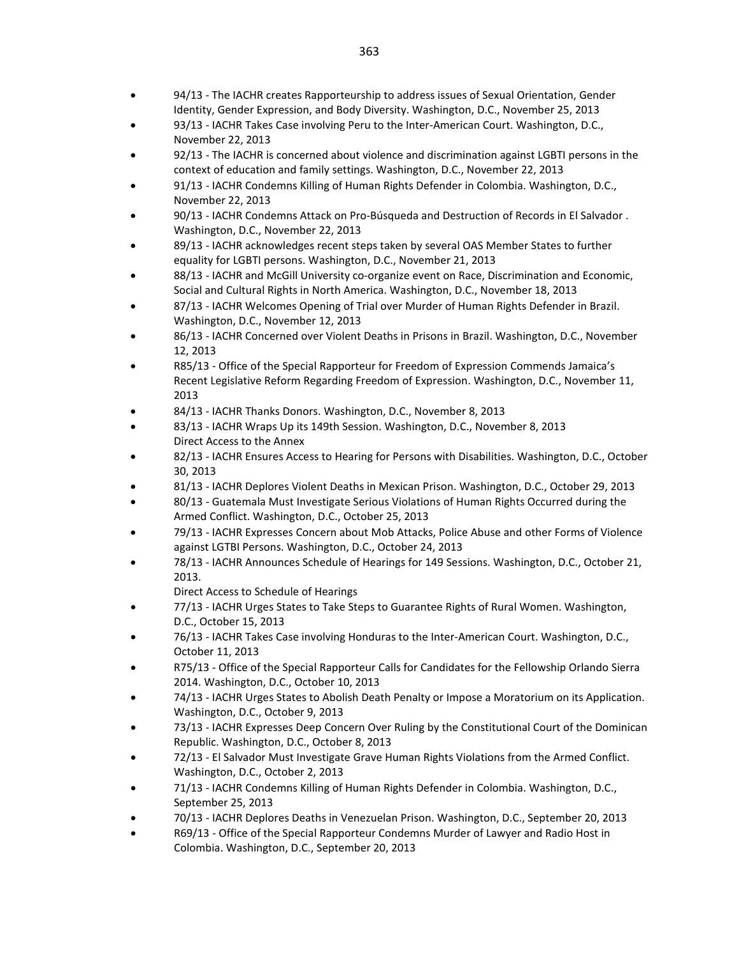- 94/13 [The IACHR creates Rapporteurship to address issues of Sexual Orientation, Gender](http://www.oas.org/en/iachr/media_center/PReleases/2013/094.asp)  [Identity, Gender Expression, and Body Diversity.](http://www.oas.org/en/iachr/media_center/PReleases/2013/094.asp) Washington, D.C., November 25, 2013
- 93/13 [IACHR Takes Case involving Peru to the Inter-American Court.](http://www.oas.org/en/iachr/media_center/PReleases/2013/093.asp) Washington, D.C., November 22, 2013
- 92/13 [The IACHR is concerned about violence and discrimination against LGBTI persons in the](http://www.oas.org/en/iachr/media_center/PReleases/2013/092.asp)  [context of education and family settings.](http://www.oas.org/en/iachr/media_center/PReleases/2013/092.asp) Washington, D.C., November 22, 2013
- 91/13 [IACHR Condemns Killing of Human Rights Defender in Colombia.](http://www.oas.org/en/iachr/media_center/PReleases/2013/091.asp) Washington, D.C., November 22, 2013
- 90/13 [IACHR Condemns Attack on Pro-Búsqueda and Destruction of Records in El Salvador .](http://www.oas.org/en/iachr/media_center/PReleases/2013/090.asp) Washington, D.C., November 22, 2013
- 89/13 [IACHR acknowledges recent steps taken by several OAS Member States to further](http://www.oas.org/en/iachr/media_center/PReleases/2013/089.asp)  [equality for LGBTI persons.](http://www.oas.org/en/iachr/media_center/PReleases/2013/089.asp) Washington, D.C., November 21, 2013
- 88/13 [IACHR and McGill University co-organize event on Race, Discrimination and Economic,](http://www.oas.org/en/iachr/media_center/PReleases/2013/088.asp)  [Social and Cultural Rights in North America.](http://www.oas.org/en/iachr/media_center/PReleases/2013/088.asp) Washington, D.C., November 18, 2013
- 87/13 [IACHR Welcomes Opening of Trial over Murder of Human Rights Defender in Brazil.](http://www.oas.org/en/iachr/media_center/PReleases/2013/087.asp) Washington, D.C., November 12, 2013
- 86/13 [IACHR Concerned over Violent Deaths in Prisons in Brazil.](http://www.oas.org/en/iachr/media_center/PReleases/2013/086.asp) Washington, D.C., November 12, 2013
- R85/13 [Office of the Special Rapporteur for Freedom of Expression Commends Jamaica's](http://www.oas.org/en/iachr/expression/showarticle.asp?artID=934&lID=1)  [Recent Legislative Reform Regarding Freedom of Expression.](http://www.oas.org/en/iachr/expression/showarticle.asp?artID=934&lID=1) Washington, D.C., November 11, 2013
- 84/13 [IACHR Thanks Donors.](http://www.oas.org/en/iachr/media_center/PReleases/2013/084.asp) Washington, D.C., November 8, 2013
- 83/13 [IACHR Wraps Up its 149th Session.](http://www.oas.org/en/iachr/media_center/PReleases/2013/083.asp) Washington, D.C., November 8, 2013 [Direct Access to the Annex](http://www.oas.org/en/iachr/media_center/PReleases/2013/083A.asp)
- 82/13 [IACHR Ensures Access to Hearing for Persons with Disabilities. W](http://www.oas.org/en/iachr/media_center/PReleases/2013/082.asp)ashington, D.C., October 30, 2013
- 81/13 [IACHR Deplores Violent Deaths in Mexican Prison.](http://www.oas.org/en/iachr/media_center/PReleases/2013/081.asp) Washington, D.C., October 29, 2013
- 80/13 [Guatemala Must Investigate Serious Violations of Human Rights Occurred during the](http://www.oas.org/en/iachr/media_center/PReleases/2013/080.asp)  [Armed Conflict. W](http://www.oas.org/en/iachr/media_center/PReleases/2013/080.asp)ashington, D.C., October 25, 2013
- 79/13 [IACHR Expresses Concern about Mob Attacks, Police Abuse and other Forms of Violence](http://www.oas.org/en/iachr/media_center/PReleases/2013/079.asp)  [against LGTBI Persons.](http://www.oas.org/en/iachr/media_center/PReleases/2013/079.asp) Washington, D.C., October 24, 2013
- 78/13 [IACHR Announces Schedule of Hearings for 149 Sessions.](http://www.oas.org/en/iachr/media_center/PReleases/2013/078.asp) Washington, D.C., October 21, 2013.

[Direct Access to Schedule of Hearings](http://www.oas.org/en/iachr/media_center/PReleases/2013/Calendario149%20eng.pdf)

- 77/13 [IACHR Urges States to Take Steps to Guarantee Rights of Rural Women.](http://www.oas.org/en/iachr/media_center/PReleases/2013/077.asp) Washington, D.C., October 15, 2013
- 76/13 [IACHR Takes Case involving Honduras to the Inter-American Court.](http://www.oas.org/en/iachr/media_center/PReleases/2013/076.asp) Washington, D.C., October 11, 2013
- R75/13 [Office of the Special Rapporteur Calls for Candidates for the Fellowship Orlando Sierra](http://www.oas.org/en/iachr/expression/showarticle.asp?artID=933&lID=1)  [2014.](http://www.oas.org/en/iachr/expression/showarticle.asp?artID=933&lID=1) Washington, D.C., October 10, 2013
- 74/13 [IACHR Urges States to Abolish Death Penalty or Impose a Moratorium on its Application.](http://www.oas.org/en/iachr/media_center/PReleases/2013/074.asp) Washington, D.C., October 9, 2013
- 73/13 [IACHR Expresses Deep Concern Over Ruling by the Constitutional Court of the Dominican](http://www.oas.org/en/iachr/media_center/PReleases/2013/073.asp)  [Republic. W](http://www.oas.org/en/iachr/media_center/PReleases/2013/073.asp)ashington, D.C., October 8, 2013
- 72/13 [El Salvador Must Investigate Grave Human Rights Violations from the Armed Conflict.](http://www.oas.org/en/iachr/media_center/PReleases/2013/072.asp) Washington, D.C., October 2, 2013
- 71/13 [IACHR Condemns Killing of Human Rights Defender in Colombia.](http://www.oas.org/en/iachr/media_center/PReleases/2013/071.asp) Washington, D.C., September 25, 2013
- 70/13 [IACHR Deplores Deaths in Venezuelan Prison.](http://www.oas.org/en/iachr/media_center/PReleases/2013/070.asp) Washington, D.C., September 20, 2013
- R69/13 [Office of the Special Rapporteur Condemns Murder of Lawyer and Radio Host in](http://www.oas.org/en/iachr/expression/index.asp)  [Colombia.](http://www.oas.org/en/iachr/expression/index.asp) Washington, D.C., September 20, 2013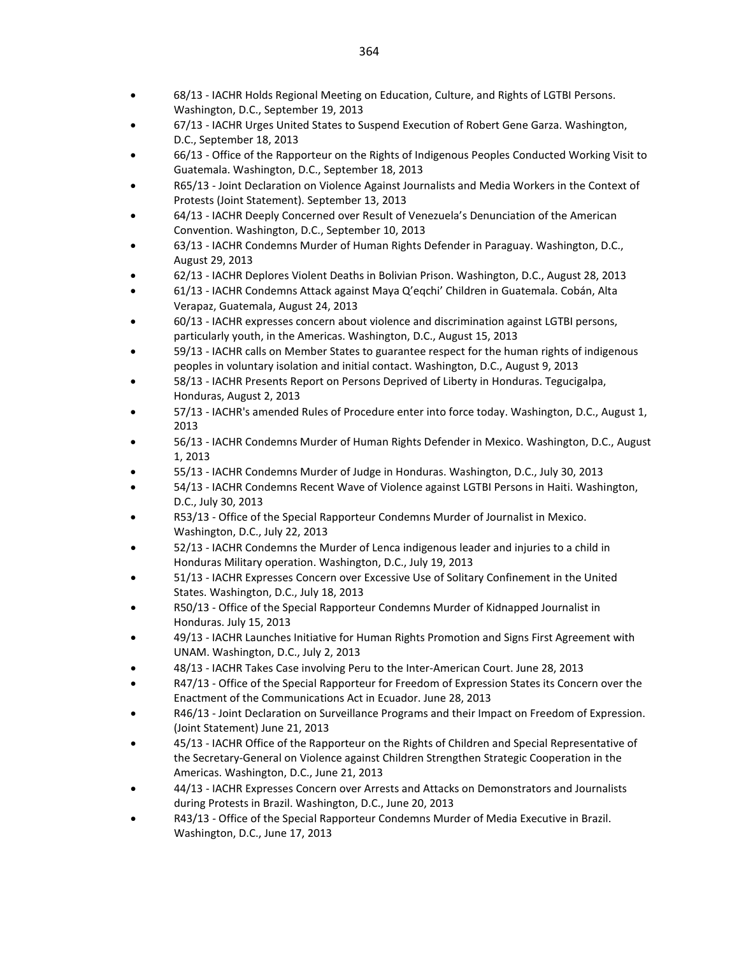- 68/13 [IACHR Holds Regional Meeting on Education, Culture, and Rights of LGTBI Persons.](http://www.oas.org/en/iachr/media_center/PReleases/2013/068.asp) Washington, D.C., September 19, 2013
- 67/13 [IACHR Urges United States to Suspend Execution of Robert Gene Garza.](http://www.oas.org/en/iachr/media_center/PReleases/2013/067.asp) Washington, D.C., September 18, 2013
- 66/13 [Office of the Rapporteur on the Rights of Indigenous Peoples Conducted Working Visit to](http://www.oas.org/en/iachr/media_center/PReleases/2013/066.asp)  [Guatemala.](http://www.oas.org/en/iachr/media_center/PReleases/2013/066.asp) Washington, D.C., September 18, 2013
- R65/13 [Joint Declaration on Violence Against Journalists and Media Workers in the Context of](http://www.oas.org/en/iachr/expression/showarticle.asp?artID=931&lID=1)  [Protests \(Joint Statement\).](http://www.oas.org/en/iachr/expression/showarticle.asp?artID=931&lID=1) September 13, 2013
- 64/13 [IACHR Deeply Concerned over Result of Venezuela's Denunciation of the American](http://www.oas.org/en/iachr/media_center/PReleases/2013/064.asp)  [Convention.](http://www.oas.org/en/iachr/media_center/PReleases/2013/064.asp) Washington, D.C., September 10, 2013
- 63/13 [IACHR Condemns Murder of Human Rights Defender in Paraguay. W](http://www.oas.org/en/iachr/media_center/PReleases/2013/063.asp)ashington, D.C., August 29, 2013
- 62/13 [IACHR Deplores Violent Deaths in Bolivian Prison.](http://www.oas.org/en/iachr/media_center/PReleases/2013/062.asp) Washington, D.C., August 28, 2013
- 61/13 [IACHR Condemns Attack against Maya Q'eqchi' Children in Guatemala.](http://www.oas.org/en/iachr/media_center/PReleases/2013/061.asp) Cobán, Alta Verapaz, Guatemala, August 24, 2013
- 60/13 [IACHR expresses concern about violence and discrimination against LGTBI persons,](http://www.oas.org/en/iachr/media_center/PReleases/2013/060.asp)  [particularly youth, in the Americas.](http://www.oas.org/en/iachr/media_center/PReleases/2013/060.asp) Washington, D.C., August 15, 2013
- 59/13 [IACHR calls on Member States to guarantee respect for the human rights of indigenous](http://www.oas.org/en/iachr/media_center/PReleases/2013/059.asp)  [peoples in voluntary isolation and initial contact.](http://www.oas.org/en/iachr/media_center/PReleases/2013/059.asp) Washington, D.C., August 9, 2013
- 58/13 [IACHR Presents Report on Persons Deprived of Liberty in Honduras.](http://www.oas.org/en/iachr/media_center/PReleases/2013/058.asp) Tegucigalpa, Honduras, August 2, 2013
- 57/13 [IACHR's amended Rules of Procedure enter into force today.](http://www.oas.org/en/iachr/media_center/PReleases/2013/057.asp) Washington, D.C., August 1, 2013
- 56/13 [IACHR Condemns Murder of Human Rights Defender in Mexico.](http://www.oas.org/en/iachr/media_center/PReleases/2013/056.asp) Washington, D.C., August 1, 2013
- 55/13 [IACHR Condemns Murder of Judge in Honduras.](http://www.oas.org/en/iachr/media_center/PReleases/2013/055.asp) Washington, D.C., July 30, 2013
- 54/13 [IACHR Condemns Recent Wave of Violence against LGTBI Persons in Haiti.](http://www.oas.org/en/iachr/media_center/PReleases/2013/054.asp) Washington, D.C., July 30, 2013
- R53/13 [Office of the Special Rapporteur Condemns Murder of Journalist in Mexico.](http://www.oas.org/es/cidh/expresion/showarticle.asp?artID=930&lID=1) Washington, D.C., July 22, 2013
- 52/13 [IACHR Condemns the Murder of Lenca indigenous leader and injuries to a child in](http://www.oas.org/en/iachr/media_center/PReleases/2013/052.asp)  [Honduras Military operation.](http://www.oas.org/en/iachr/media_center/PReleases/2013/052.asp) Washington, D.C., July 19, 2013
- 51/13 [IACHR Expresses Concern over Excessive Use of Solitary Confinement in the United](http://www.oas.org/en/iachr/media_center/PReleases/2013/051.asp)  [States.](http://www.oas.org/en/iachr/media_center/PReleases/2013/051.asp) Washington, D.C., July 18, 2013
- R50/13 [Office of the Special Rapporteur Condemns Murder of Kidnapped Journalist in](http://www.oas.org/en/iachr/expression/showarticle.asp?artID=929&lID=1)  [Honduras.](http://www.oas.org/en/iachr/expression/showarticle.asp?artID=929&lID=1) July 15, 2013
- 49/13 [IACHR Launches Initiative for Human Rights Promotion and Signs First Agreement with](http://www.oas.org/en/iachr/media_center/PReleases/2013/049.asp)  [UNAM.](http://www.oas.org/en/iachr/media_center/PReleases/2013/049.asp) Washington, D.C., July 2, 2013
- 48/13 [IACHR Takes Case involving Peru to the Inter-American Court.](http://www.oas.org/en/iachr/media_center/PReleases/2013/048.asp) June 28, 2013
- R47/13 [Office of the Special Rapporteur for Freedom of Expression States its Concern over the](http://www.oas.org/en/iachr/expression/showarticle.asp?artID=928&lID=1)  [Enactment of the Communications Act in Ecuador.](http://www.oas.org/en/iachr/expression/showarticle.asp?artID=928&lID=1) June 28, 2013
- R46/13 [Joint Declaration on Surveillance Programs and their Impact on Freedom of Expression.](http://www.oas.org/en/iachr/expression/showarticle.asp?artID=927&lID=1)  [\(Joint Statement\)](http://www.oas.org/en/iachr/expression/showarticle.asp?artID=927&lID=1) June 21, 2013
- 45/13 [IACHR Office of the Rapporteur on the Rights of Children and Special Representative of](http://www.oas.org/en/iachr/media_center/PReleases/2013/045.asp)  [the Secretary-General on Violence against Children Strengthen Strategic Cooperation in the](http://www.oas.org/en/iachr/media_center/PReleases/2013/045.asp)  [Americas.](http://www.oas.org/en/iachr/media_center/PReleases/2013/045.asp) Washington, D.C., June 21, 2013
- 44/13 [IACHR Expresses Concern over Arrests and Attacks on Demonstrators and Journalists](http://www.oas.org/en/iachr/media_center/PReleases/2013/044.asp)  [during Protests in Brazil.](http://www.oas.org/en/iachr/media_center/PReleases/2013/044.asp) Washington, D.C., June 20, 2013
- R43/13 [Office of the Special Rapporteur Condemns Murder of Media Executive in Brazil.](http://www.oas.org/en/iachr/expression/showarticle.asp?artID=924&lID=1) Washington, D.C., June 17, 2013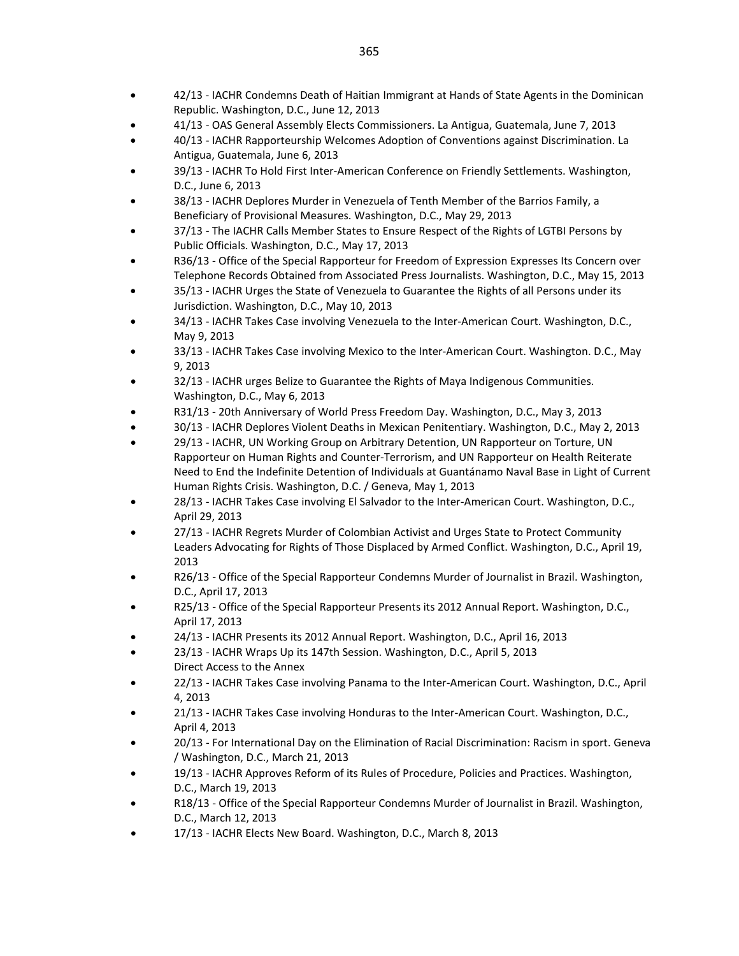- 42/13 [IACHR Condemns Death of Haitian Immigrant at Hands of State Agents in the Dominican](http://www.oas.org/en/iachr/media_center/PReleases/2013/042.asp)  [Republic.](http://www.oas.org/en/iachr/media_center/PReleases/2013/042.asp) Washington, D.C., June 12, 2013
- 41/13 [OAS General Assembly Elects Commissioners.](http://www.oas.org/en/iachr/media_center/PReleases/2013/041.asp) La Antigua, Guatemala, June 7, 2013
- 40/13 [IACHR Rapporteurship Welcomes Adoption of](http://www.oas.org/en/iachr/media_center/PReleases/2013/040.asp) Conventions against Discrimination. La Antigua, Guatemala, June 6, 2013
- 39/13 [IACHR To Hold First Inter-American Conference on Friendly Settlements.](http://www.oas.org/en/iachr/media_center/PReleases/2013/039.asp) Washington, D.C., June 6, 2013
- 38/13 [IACHR Deplores Murder in Venezuela of Tenth Member of the Barrios Family, a](http://www.oas.org/en/iachr/media_center/PReleases/2013/038.asp)  [Beneficiary of Provisional Measures.](http://www.oas.org/en/iachr/media_center/PReleases/2013/038.asp) Washington, D.C., May 29, 2013
- 37/13 [The IACHR Calls Member States to Ensure Respect of the Rights of LGTBI Persons by](http://www.oas.org/en/iachr/media_center/PReleases/2013/037.asp)  [Public Officials.](http://www.oas.org/en/iachr/media_center/PReleases/2013/037.asp) Washington, D.C., May 17, 2013
- R36/13 [Office of the Special Rapporteur for Freedom of Expression Expresses Its Concern over](http://www.oas.org/es/cidh/expresion/showarticle.asp?artID=923&lID=1)  [Telephone Records Obtained from Associated Press Journalists.](http://www.oas.org/es/cidh/expresion/showarticle.asp?artID=923&lID=1) Washington, D.C., May 15, 2013
- 35/13 [IACHR Urges the State of Venezuela to Guarantee the Rights of all Persons under its](http://www.oas.org/en/iachr/media_center/PReleases/2013/035.asp)  [Jurisdiction.](http://www.oas.org/en/iachr/media_center/PReleases/2013/035.asp) Washington, D.C., May 10, 2013
- 34/13 [IACHR Takes Case involving Venezuela to the Inter-American Court.](http://www.oas.org/en/iachr/media_center/PReleases/2013/034.asp) Washington, D.C., May 9, 2013
- 33/13 [IACHR Takes Case involving Mexico to the Inter-American Court.](http://www.oas.org/en/iachr/media_center/PReleases/2013/033.asp) Washington. D.C., May 9, 2013
- 32/13 [IACHR urges Belize to Guarantee the Rights of Maya Indigenous Communities.](http://www.oas.org/en/iachr/media_center/PReleases/2013/032.asp) Washington, D.C., May 6, 2013
- R31/13 [20th Anniversary of World Press Freedom Day.](http://servicesdev:82/en/iachr/expression/showarticle.asp?artID=922&lID=1) Washington, D.C., May 3, 2013
- 30/13 [IACHR Deplores Violent Deaths in Mexican Penitentiary. W](http://www.oas.org/en/iachr/media_center/PReleases/2013/030.asp)ashington, D.C., May 2, 2013
- 29/13 [IACHR, UN Working Group on Arbitrary Detention, UN Rapporteur on Torture, UN](http://www.oas.org/en/iachr/media_center/PReleases/2013/029.asp)  [Rapporteur on Human Rights and Counter-Terrorism, and UN Rapporteur on Health Reiterate](http://www.oas.org/en/iachr/media_center/PReleases/2013/029.asp)  [Need to End the Indefinite Detention of Individuals at Guantánamo Naval Base in Light of Current](http://www.oas.org/en/iachr/media_center/PReleases/2013/029.asp)  [Human Rights Crisis.](http://www.oas.org/en/iachr/media_center/PReleases/2013/029.asp) Washington, D.C. / Geneva, May 1, 2013
- 28/13 [IACHR Takes Case involving El Salvador to the Inter-American Court.](http://www.oas.org/en/iachr/media_center/PReleases/2013/028.asp) Washington, D.C., April 29, 2013
- 27/13 [IACHR Regrets Murder of Colombian Activist and Urges State to Protect Community](http://www.oas.org/en/iachr/media_center/PReleases/2013/027.asp)  [Leaders Advocating for Rights of Those Displaced by Armed Conflict.](http://www.oas.org/en/iachr/media_center/PReleases/2013/027.asp) Washington, D.C., April 19, 2013
- R26/13 [Office of the Special Rapporteur Condemns Murder of Journalist in Brazil.](http://www.oas.org/es/cidh/expresion/showarticle.asp?artID=920&lID=1) Washington, D.C., April 17, 2013
- R25/13 [Office of the Special Rapporteur Presents its 2012 Annual Report.](http://www.oas.org/es/cidh/expresion/showarticle.asp?artID=919&lID=1) Washington, D.C., April 17, 2013
- 24/13 [IACHR Presents its 2012 Annual Report.](http://www.oas.org/en/iachr/media_center/PReleases/2013/024.asp) Washington, D.C., April 16, 2013
- 23/13 [IACHR Wraps Up its 147th Session.](http://www.oas.org/en/iachr/media_center/PReleases/2013/023.asp) Washington, D.C., April 5, 2013 [Direct Access to the Annex](http://www.oas.org/en/iachr/media_center/PReleases/2013/023A.asp)
- 22/13 [IACHR Takes Case involving Panama to the Inter-American Court.](http://www.oas.org/en/iachr/media_center/PReleases/2013/022.asp) Washington, D.C., April 4, 2013
- 21/13 [IACHR Takes Case involving Honduras to the Inter-American Court.](http://www.oas.org/en/iachr/media_center/PReleases/2013/021.asp) Washington, D.C., April 4, 2013
- 20/13 [For International Day on the Elimination of Racial Discrimination: Racism in sport.](http://www.oas.org/en/iachr/media_center/PReleases/2013/020.asp) Geneva / Washington, D.C., March 21, 2013
- 19/13 [IACHR Approves Reform of its Rules of Procedure, Policies and Practices.](http://www.oas.org/en/iachr/media_center/PReleases/2013/019.asp) Washington, D.C., March 19, 2013
- R18/13 [Office of the Special Rapporteur Condemns Murder of Journalist in Brazil.](http://www.oas.org/en/iachr/expression/showarticle.asp?artID=918&lID=1) Washington, D.C., March 12, 2013
- 17/13 [IACHR Elects New Board.](http://www.oas.org/en/iachr/media_center/PReleases/2013/017.asp) Washington, D.C., March 8, 2013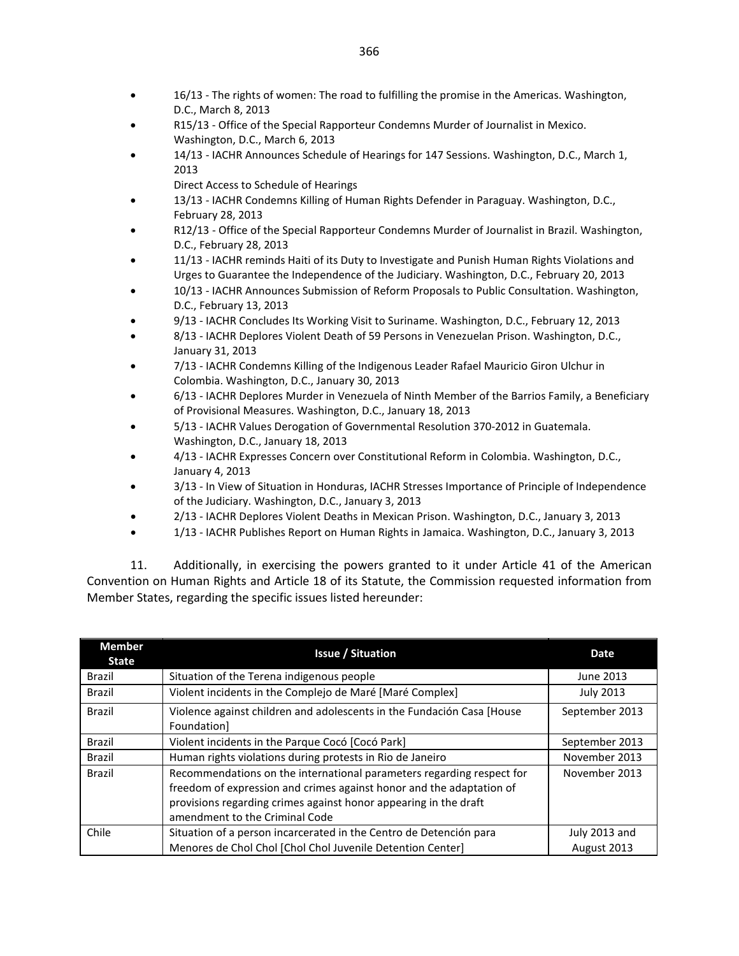- 16/13 [The rights of women: The road to fulfilling the promise in the Americas.](http://www.oas.org/en/iachr/media_center/PReleases/2013/016.asp) Washington, D.C., March 8, 2013
- R15/13 [Office of the Special Rapporteur Condemns Murder of Journalist in Mexico.](http://www.oas.org/en/iachr/expression/showarticle.asp?artID=917&lID=1) Washington, D.C., March 6, 2013
- 14/13 [IACHR Announces Schedule of Hearings for 147 Sessions.](http://www.oas.org/en/iachr/media_center/PReleases/2013/014.asp) Washington, D.C., March 1, 2013
	- [Direct Access to Schedule of Hearings](http://www.oas.org/en/iachr/media_center/PReleases/2013/Calendar147eng.pdf)
- 13/13 [IACHR Condemns Killing of Human Rights Defender in Paraguay.](http://www.oas.org/en/iachr/media_center/PReleases/2013/013.asp) Washington, D.C., February 28, 2013
- R12/13 [Office of the Special Rapporteur Condemns Murder of Journalist in Brazil.](http://www.oas.org/en/iachr/expression/showarticle.asp?artID=916&lID=1) Washington, D.C., February 28, 2013
- 11/13 [IACHR reminds Haiti of its Duty to Investigate and Punish Human Rights Violations and](http://www.oas.org/en/iachr/media_center/PReleases/2013/011.asp)  [Urges to Guarantee the Independence of the Judiciary.](http://www.oas.org/en/iachr/media_center/PReleases/2013/011.asp) Washington, D.C., February 20, 2013
- 10/13 [IACHR Announces Submission of Reform Proposals to Public Consultation.](http://www.oas.org/en/iachr/media_center/PReleases/2013/010.asp) Washington, D.C., February 13, 2013
- 9/13 [IACHR Concludes Its Working Visit to Suriname.](http://www.oas.org/en/iachr/media_center/PReleases/2013/009.asp) Washington, D.C., February 12, 2013
- 8/13 [IACHR Deplores Violent Death of 59 Persons in Venezuelan Prison.](http://www.oas.org/en/iachr/media_center/PReleases/2013/008.asp) Washington, D.C., January 31, 2013
- 7/13 [IACHR Condemns Killing of the Indigenous Leader Rafael Mauricio Giron Ulchur in](http://www.oas.org/en/iachr/media_center/PReleases/2013/007.asp)  [Colombia.](http://www.oas.org/en/iachr/media_center/PReleases/2013/007.asp) Washington, D.C., January 30, 2013
- 6/13 [IACHR Deplores Murder in Venezuela of Ninth Member of the Barrios Family, a Beneficiary](http://www.oas.org/en/iachr/media_center/PReleases/2013/006.asp)  [of Provisional Measures.](http://www.oas.org/en/iachr/media_center/PReleases/2013/006.asp) Washington, D.C., January 18, 2013
- 5/13 [IACHR Values Derogation of Governmental Resolution 370-2012 in Guatemala.](http://www.oas.org/en/iachr/media_center/PReleases/2013/005.asp)  Washington, D.C., January 18, 2013
- 4/13 [IACHR Expresses Concern over Constitutional Reform in Colombia.](http://www.oas.org/en/iachr/media_center/PReleases/2013/004.asp) Washington, D.C., January 4, 2013
- 3/13 [In View of Situation in Honduras, IACHR Stresses Importance of Principle of Independence](http://www.oas.org/en/iachr/media_center/PReleases/2013/003.asp)  [of the Judiciary.](http://www.oas.org/en/iachr/media_center/PReleases/2013/003.asp) Washington, D.C., January 3, 2013
- 2/13 [IACHR Deplores Violent Deaths in Mexican Prison.](http://www.oas.org/en/iachr/media_center/PReleases/2013/002.asp) Washington, D.C., January 3, 2013
- 1/13 [IACHR Publishes Report on Human Rights in Jamaica.](http://www.oas.org/en/iachr/media_center/PReleases/2013/001.asp) Washington, D.C., January 3, 2013

11. Additionally, in exercising the powers granted to it under Article 41 of the American Convention on Human Rights and Article 18 of its Statute, the Commission requested information from Member States, regarding the specific issues listed hereunder:

| <b>Member</b><br><b>State</b> | <b>Issue / Situation</b>                                                                                                                                                                                                                            | <b>Date</b>                  |
|-------------------------------|-----------------------------------------------------------------------------------------------------------------------------------------------------------------------------------------------------------------------------------------------------|------------------------------|
| Brazil                        | Situation of the Terena indigenous people                                                                                                                                                                                                           | June 2013                    |
| <b>Brazil</b>                 | Violent incidents in the Complejo de Maré [Maré Complex]                                                                                                                                                                                            | <b>July 2013</b>             |
| <b>Brazil</b>                 | Violence against children and adolescents in the Fundación Casa [House]<br>Foundation]                                                                                                                                                              | September 2013               |
| <b>Brazil</b>                 | Violent incidents in the Parque Cocó [Cocó Park]                                                                                                                                                                                                    | September 2013               |
| <b>Brazil</b>                 | Human rights violations during protests in Rio de Janeiro                                                                                                                                                                                           | November 2013                |
| <b>Brazil</b>                 | Recommendations on the international parameters regarding respect for<br>freedom of expression and crimes against honor and the adaptation of<br>provisions regarding crimes against honor appearing in the draft<br>amendment to the Criminal Code | November 2013                |
| Chile                         | Situation of a person incarcerated in the Centro de Detención para<br>Menores de Chol Chol [Chol Chol Juvenile Detention Center]                                                                                                                    | July 2013 and<br>August 2013 |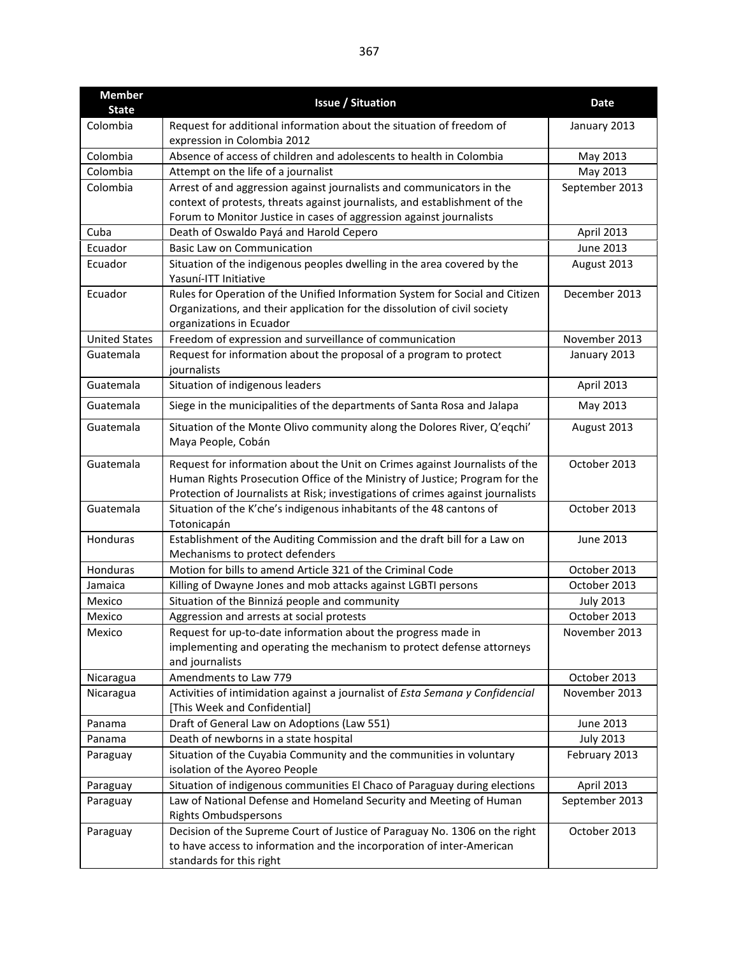| <b>Member</b>        | <b>Issue / Situation</b>                                                                                                                                                                                                                      | <b>Date</b>      |
|----------------------|-----------------------------------------------------------------------------------------------------------------------------------------------------------------------------------------------------------------------------------------------|------------------|
| <b>State</b>         |                                                                                                                                                                                                                                               |                  |
| Colombia             | Request for additional information about the situation of freedom of<br>expression in Colombia 2012                                                                                                                                           | January 2013     |
| Colombia             | Absence of access of children and adolescents to health in Colombia                                                                                                                                                                           | May 2013         |
| Colombia             | Attempt on the life of a journalist                                                                                                                                                                                                           | May 2013         |
| Colombia             | Arrest of and aggression against journalists and communicators in the<br>context of protests, threats against journalists, and establishment of the                                                                                           | September 2013   |
| Cuba                 | Forum to Monitor Justice in cases of aggression against journalists<br>Death of Oswaldo Payá and Harold Cepero                                                                                                                                | April 2013       |
| Ecuador              | <b>Basic Law on Communication</b>                                                                                                                                                                                                             | June 2013        |
| Ecuador              | Situation of the indigenous peoples dwelling in the area covered by the                                                                                                                                                                       | August 2013      |
|                      | Yasuní-ITT Initiative                                                                                                                                                                                                                         |                  |
| Ecuador              | Rules for Operation of the Unified Information System for Social and Citizen<br>Organizations, and their application for the dissolution of civil society<br>organizations in Ecuador                                                         | December 2013    |
| <b>United States</b> | Freedom of expression and surveillance of communication                                                                                                                                                                                       | November 2013    |
| Guatemala            | Request for information about the proposal of a program to protect<br>journalists                                                                                                                                                             | January 2013     |
| Guatemala            | Situation of indigenous leaders                                                                                                                                                                                                               | April 2013       |
| Guatemala            | Siege in the municipalities of the departments of Santa Rosa and Jalapa                                                                                                                                                                       | May 2013         |
| Guatemala            | Situation of the Monte Olivo community along the Dolores River, Q'eqchi'<br>Maya People, Cobán                                                                                                                                                | August 2013      |
| Guatemala            | Request for information about the Unit on Crimes against Journalists of the<br>Human Rights Prosecution Office of the Ministry of Justice; Program for the<br>Protection of Journalists at Risk; investigations of crimes against journalists | October 2013     |
| Guatemala            | Situation of the K'che's indigenous inhabitants of the 48 cantons of<br>Totonicapán                                                                                                                                                           | October 2013     |
| Honduras             | Establishment of the Auditing Commission and the draft bill for a Law on<br>Mechanisms to protect defenders                                                                                                                                   | June 2013        |
| Honduras             | Motion for bills to amend Article 321 of the Criminal Code                                                                                                                                                                                    | October 2013     |
| Jamaica              | Killing of Dwayne Jones and mob attacks against LGBTI persons                                                                                                                                                                                 | October 2013     |
| Mexico               | Situation of the Binnizá people and community                                                                                                                                                                                                 | <b>July 2013</b> |
| Mexico               | Aggression and arrests at social protests                                                                                                                                                                                                     | October 2013     |
| Mexico               | Request for up-to-date information about the progress made in<br>implementing and operating the mechanism to protect defense attorneys<br>and journalists                                                                                     | November 2013    |
| Nicaragua            | Amendments to Law 779                                                                                                                                                                                                                         | October 2013     |
| Nicaragua            | Activities of intimidation against a journalist of Esta Semana y Confidencial<br>[This Week and Confidential]                                                                                                                                 | November 2013    |
| Panama               | Draft of General Law on Adoptions (Law 551)                                                                                                                                                                                                   | June 2013        |
| Panama               | Death of newborns in a state hospital                                                                                                                                                                                                         | <b>July 2013</b> |
| Paraguay             | Situation of the Cuyabia Community and the communities in voluntary<br>isolation of the Ayoreo People                                                                                                                                         | February 2013    |
| Paraguay             | Situation of indigenous communities El Chaco of Paraguay during elections                                                                                                                                                                     | April 2013       |
| Paraguay             | Law of National Defense and Homeland Security and Meeting of Human<br><b>Rights Ombudspersons</b>                                                                                                                                             | September 2013   |
| Paraguay             | Decision of the Supreme Court of Justice of Paraguay No. 1306 on the right<br>to have access to information and the incorporation of inter-American<br>standards for this right                                                               | October 2013     |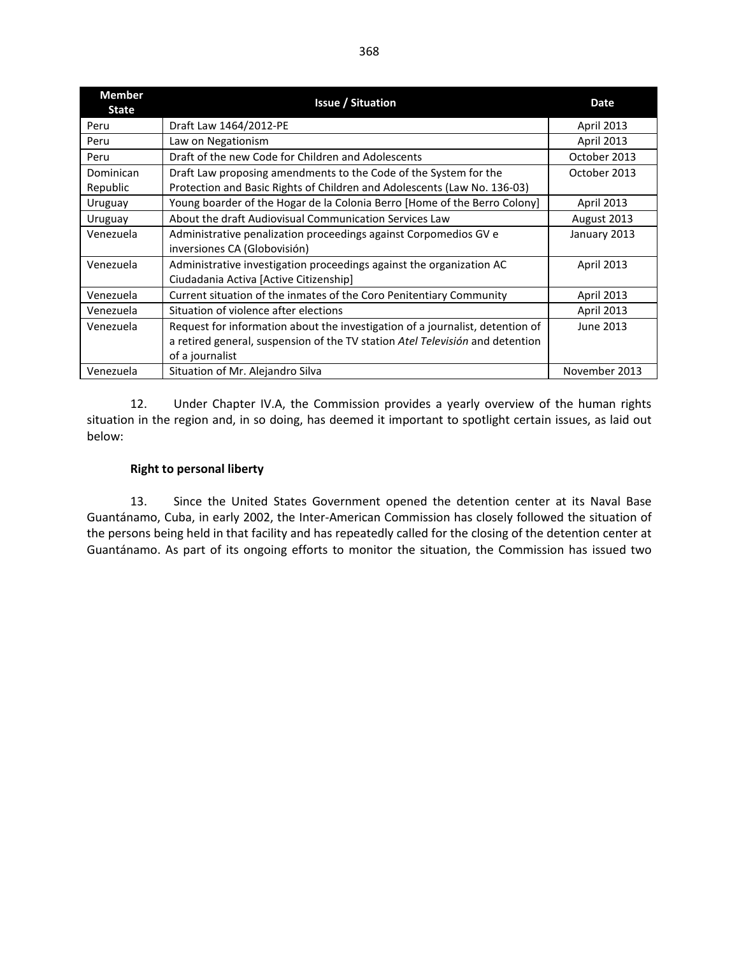| <b>Member</b><br><b>State</b> | <b>Issue / Situation</b>                                                      | Date              |  |
|-------------------------------|-------------------------------------------------------------------------------|-------------------|--|
| Peru                          | Draft Law 1464/2012-PE                                                        | <b>April 2013</b> |  |
| Peru                          | Law on Negationism                                                            | <b>April 2013</b> |  |
| Peru                          | Draft of the new Code for Children and Adolescents                            | October 2013      |  |
| Dominican                     | Draft Law proposing amendments to the Code of the System for the              | October 2013      |  |
| Republic                      | Protection and Basic Rights of Children and Adolescents (Law No. 136-03)      |                   |  |
| Uruguay                       | Young boarder of the Hogar de la Colonia Berro [Home of the Berro Colony]     | <b>April 2013</b> |  |
| Uruguay                       | About the draft Audiovisual Communication Services Law                        | August 2013       |  |
| Venezuela                     | Administrative penalization proceedings against Corpomedios GV e              | January 2013      |  |
|                               | inversiones CA (Globovisión)                                                  |                   |  |
| Venezuela                     | Administrative investigation proceedings against the organization AC          | <b>April 2013</b> |  |
|                               | Ciudadania Activa [Active Citizenship]                                        |                   |  |
| Venezuela                     | Current situation of the inmates of the Coro Penitentiary Community           | <b>April 2013</b> |  |
| Venezuela                     | Situation of violence after elections                                         | <b>April 2013</b> |  |
| Venezuela                     | Request for information about the investigation of a journalist, detention of | June 2013         |  |
|                               | a retired general, suspension of the TV station Atel Televisión and detention |                   |  |
|                               | of a journalist                                                               |                   |  |
| Venezuela                     | Situation of Mr. Alejandro Silva                                              | November 2013     |  |

12. Under Chapter IV.A, the Commission provides a yearly overview of the human rights situation in the region and, in so doing, has deemed it important to spotlight certain issues, as laid out below:

#### **Right to personal liberty**

13. Since the United States Government opened the detention center at its Naval Base Guantánamo, Cuba, in early 2002, the Inter-American Commission has closely followed the situation of the persons being held in that facility and has repeatedly called for the closing of the detention center at Guantánamo. As part of its ongoing efforts to monitor the situation, the Commission has issued two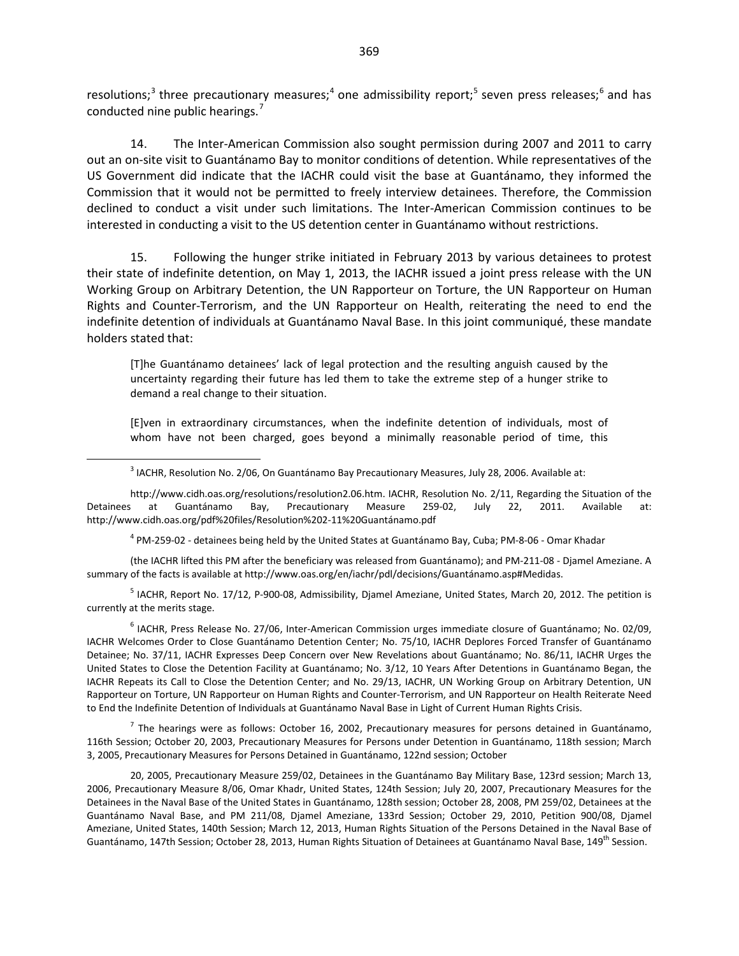resolutions;<sup>[3](#page-10-0)</sup> three precautionary measures;<sup>[4](#page-10-1)</sup> one admissibility report;<sup>[5](#page-10-2)</sup> seven press releases;<sup>[6](#page-10-3)</sup> and has conducted nine public hearings.<sup>[7](#page-10-4)</sup>

14. The Inter-American Commission also sought permission during 2007 and 2011 to carry out an on-site visit to Guantánamo Bay to monitor conditions of detention. While representatives of the US Government did indicate that the IACHR could visit the base at Guantánamo, they informed the Commission that it would not be permitted to freely interview detainees. Therefore, the Commission declined to conduct a visit under such limitations. The Inter-American Commission continues to be interested in conducting a visit to the US detention center in Guantánamo without restrictions.

15. Following the hunger strike initiated in February 2013 by various detainees to protest their state of indefinite detention, on May 1, 2013, the IACHR issued a joint press release with the UN Working Group on Arbitrary Detention, the UN Rapporteur on Torture, the UN Rapporteur on Human Rights and Counter-Terrorism, and the UN Rapporteur on Health, reiterating the need to end the indefinite detention of individuals at Guantánamo Naval Base. In this joint communiqué, these mandate holders stated that:

[T]he Guantánamo detainees' lack of legal protection and the resulting anguish caused by the uncertainty regarding their future has led them to take the extreme step of a hunger strike to demand a real change to their situation.

[E]ven in extraordinary circumstances, when the indefinite detention of individuals, most of whom have not been charged, goes beyond a minimally reasonable period of time, this

<sup>3</sup> IACHR, Resolution No. 2/06, On Guantánamo Bay Precautionary Measures, July 28, 2006. Available at:

<span id="page-10-0"></span>http://www.cidh.oas.org/resolutions/resolution2.06.htm. IACHR, Resolution No. 2/11, Regarding the Situation of the Detainees at Guantánamo Bay, Precautionary Measure 259-02, July 22, 2011. Available at: http://www.cidh.oas.org/pdf%20files/Resolution%202-11%20Guantánamo.pdf

 $4$  PM-259-02 - detainees being held by the United States at Guantánamo Bay, Cuba; PM-8-06 - Omar Khadar

<span id="page-10-1"></span>(the IACHR lifted this PM after the beneficiary was released from Guantánamo); and PM-211-08 - Djamel Ameziane. A summary of the facts is available at http://www.oas.org/en/iachr/pdl/decisions/Guantánamo.asp#Medidas.

<span id="page-10-2"></span> $<sup>5</sup>$  IACHR, Report No. 17/12, P-900-08, Admissibility, Djamel Ameziane, United States, March 20, 2012. The petition is</sup> currently at the merits stage.

<span id="page-10-3"></span><sup>6</sup> IACHR, Press Release No. 27/06, Inter-American Commission urges immediate closure of Guantánamo; No. 02/09, IACHR Welcomes Order to Close Guantánamo Detention Center; No. 75/10, IACHR Deplores Forced Transfer of Guantánamo Detainee; No. 37/11, IACHR Expresses Deep Concern over New Revelations about Guantánamo; No. 86/11, IACHR Urges the United States to Close the Detention Facility at Guantánamo; No. 3/12, 10 Years After Detentions in Guantánamo Began, the IACHR Repeats its Call to Close the Detention Center; and No. 29/13, IACHR, UN Working Group on Arbitrary Detention, UN Rapporteur on Torture, UN Rapporteur on Human Rights and Counter-Terrorism, and UN Rapporteur on Health Reiterate Need to End the Indefinite Detention of Individuals at Guantánamo Naval Base in Light of Current Human Rights Crisis.

<span id="page-10-4"></span> $<sup>7</sup>$  The hearings were as follows: October 16, 2002, Precautionary measures for persons detained in Guantánamo,</sup> 116th Session; October 20, 2003, Precautionary Measures for Persons under Detention in Guantánamo, 118th session; March 3, 2005, Precautionary Measures for Persons Detained in Guantánamo, 122nd session; October

20, 2005, Precautionary Measure 259/02, Detainees in the Guantánamo Bay Military Base, 123rd session; March 13, 2006, Precautionary Measure 8/06, Omar Khadr, United States, 124th Session; July 20, 2007, Precautionary Measures for the Detainees in the Naval Base of the United States in Guantánamo, 128th session; October 28, 2008, PM 259/02, Detainees at the Guantánamo Naval Base, and PM 211/08, Djamel Ameziane, 133rd Session; October 29, 2010, Petition 900/08, Djamel Ameziane, United States, 140th Session; March 12, 2013, Human Rights Situation of the Persons Detained in the Naval Base of Guantánamo, 147th Session; October 28, 2013, Human Rights Situation of Detainees at Guantánamo Naval Base, 149<sup>th</sup> Session.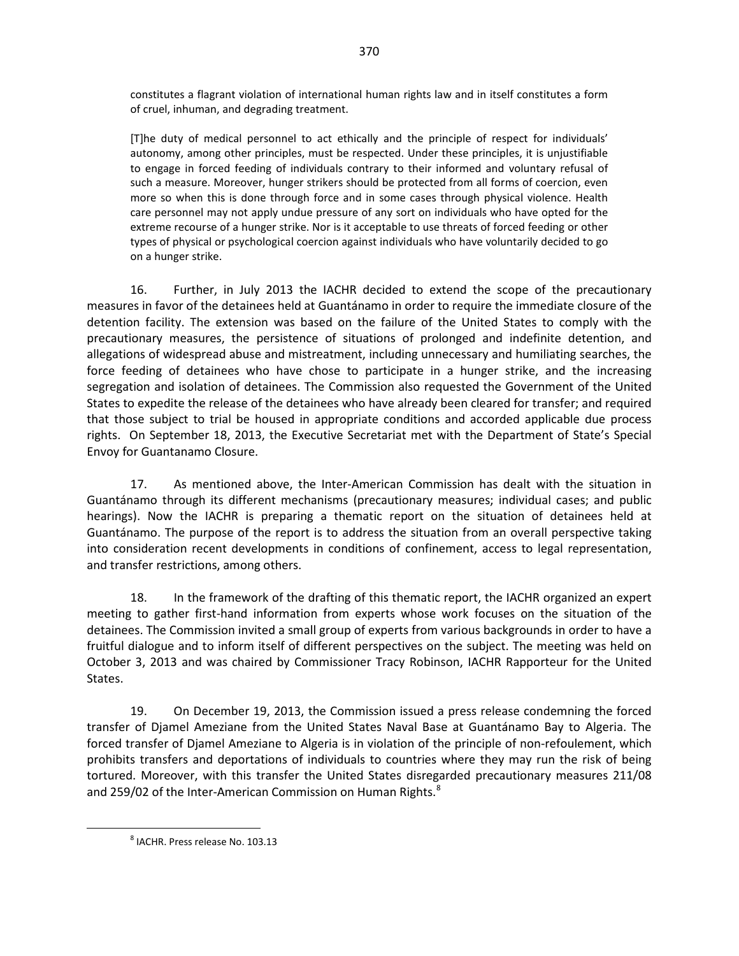constitutes a flagrant violation of international human rights law and in itself constitutes a form of cruel, inhuman, and degrading treatment.

[T]he duty of medical personnel to act ethically and the principle of respect for individuals' autonomy, among other principles, must be respected. Under these principles, it is unjustifiable to engage in forced feeding of individuals contrary to their informed and voluntary refusal of such a measure. Moreover, hunger strikers should be protected from all forms of coercion, even more so when this is done through force and in some cases through physical violence. Health care personnel may not apply undue pressure of any sort on individuals who have opted for the extreme recourse of a hunger strike. Nor is it acceptable to use threats of forced feeding or other types of physical or psychological coercion against individuals who have voluntarily decided to go on a hunger strike.

16. Further, in July 2013 the IACHR decided to extend the scope of the precautionary measures in favor of the detainees held at Guantánamo in order to require the immediate closure of the detention facility. The extension was based on the failure of the United States to comply with the precautionary measures, the persistence of situations of prolonged and indefinite detention, and allegations of widespread abuse and mistreatment, including unnecessary and humiliating searches, the force feeding of detainees who have chose to participate in a hunger strike, and the increasing segregation and isolation of detainees. The Commission also requested the Government of the United States to expedite the release of the detainees who have already been cleared for transfer; and required that those subject to trial be housed in appropriate conditions and accorded applicable due process rights. On September 18, 2013, the Executive Secretariat met with the Department of State's Special Envoy for Guantanamo Closure.

17. As mentioned above, the Inter-American Commission has dealt with the situation in Guantánamo through its different mechanisms (precautionary measures; individual cases; and public hearings). Now the IACHR is preparing a thematic report on the situation of detainees held at Guantánamo. The purpose of the report is to address the situation from an overall perspective taking into consideration recent developments in conditions of confinement, access to legal representation, and transfer restrictions, among others.

18. In the framework of the drafting of this thematic report, the IACHR organized an expert meeting to gather first-hand information from experts whose work focuses on the situation of the detainees. The Commission invited a small group of experts from various backgrounds in order to have a fruitful dialogue and to inform itself of different perspectives on the subject. The meeting was held on October 3, 2013 and was chaired by Commissioner Tracy Robinson, IACHR Rapporteur for the United States.

19. On December 19, 2013, the Commission issued a press release condemning the forced transfer of Djamel Ameziane from the United States Naval Base at Guantánamo Bay to Algeria. The forced transfer of Djamel Ameziane to Algeria is in violation of the principle of non-refoulement, which prohibits transfers and deportations of individuals to countries where they may run the risk of being tortured. Moreover, with this transfer the United States disregarded precautionary measures 211/08 and 259/02 of the Inter-American Commission on Human Rights.<sup>[8](#page-11-0)</sup>

<span id="page-11-0"></span><sup>8</sup> IACHR. Press release No. 103.13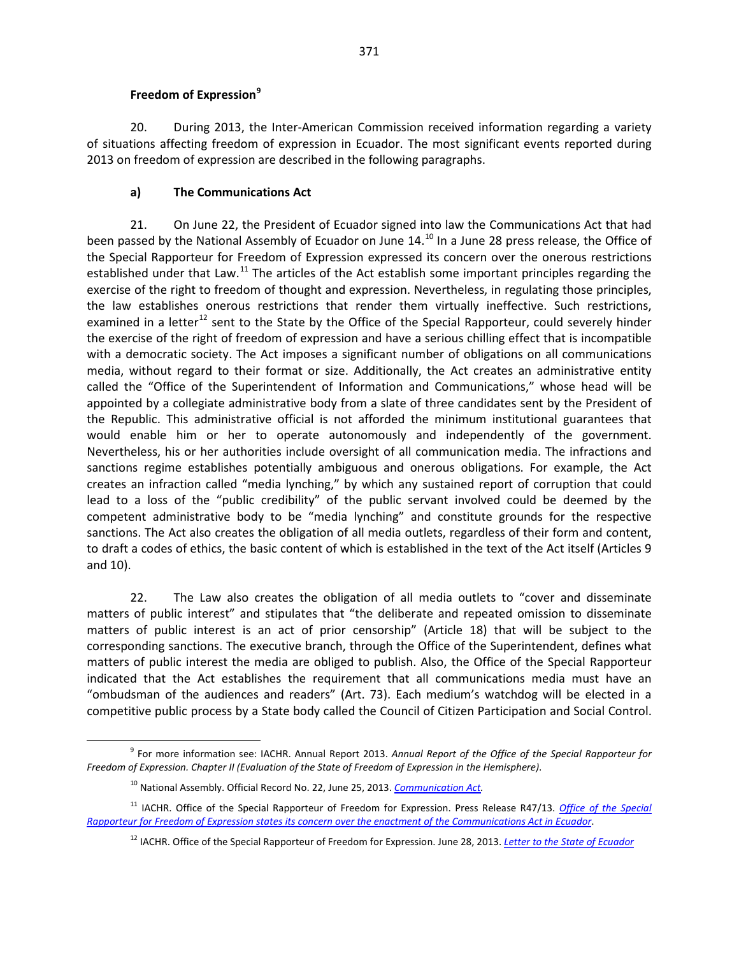#### **Freedom of Expression[9](#page-12-0)**

20. During 2013, the Inter-American Commission received information regarding a variety of situations affecting freedom of expression in Ecuador. The most significant events reported during 2013 on freedom of expression are described in the following paragraphs.

## **a) The Communications Act**

21. On June 22, the President of Ecuador signed into law the Communications Act that had been passed by the National Assembly of Ecuador on June 14.<sup>[10](#page-12-1)</sup> In a June 28 press release, the Office of the Special Rapporteur for Freedom of Expression expressed its concern over the onerous restrictions established under that Law.<sup>[11](#page-12-2)</sup> The articles of the Act establish some important principles regarding the exercise of the right to freedom of thought and expression. Nevertheless, in regulating those principles, the law establishes onerous restrictions that render them virtually ineffective. Such restrictions, examined in a letter<sup>[12](#page-12-3)</sup> sent to the State by the Office of the Special Rapporteur, could severely hinder the exercise of the right of freedom of expression and have a serious chilling effect that is incompatible with a democratic society. The Act imposes a significant number of obligations on all communications media, without regard to their format or size. Additionally, the Act creates an administrative entity called the "Office of the Superintendent of Information and Communications," whose head will be appointed by a collegiate administrative body from a slate of three candidates sent by the President of the Republic. This administrative official is not afforded the minimum institutional guarantees that would enable him or her to operate autonomously and independently of the government. Nevertheless, his or her authorities include oversight of all communication media. The infractions and sanctions regime establishes potentially ambiguous and onerous obligations. For example, the Act creates an infraction called "media lynching," by which any sustained report of corruption that could lead to a loss of the "public credibility" of the public servant involved could be deemed by the competent administrative body to be "media lynching" and constitute grounds for the respective sanctions. The Act also creates the obligation of all media outlets, regardless of their form and content, to draft a codes of ethics, the basic content of which is established in the text of the Act itself (Articles 9 and 10).

22. The Law also creates the obligation of all media outlets to "cover and disseminate matters of public interest" and stipulates that "the deliberate and repeated omission to disseminate matters of public interest is an act of prior censorship" (Article 18) that will be subject to the corresponding sanctions. The executive branch, through the Office of the Superintendent, defines what matters of public interest the media are obliged to publish. Also, the Office of the Special Rapporteur indicated that the Act establishes the requirement that all communications media must have an "ombudsman of the audiences and readers" (Art. 73). Each medium's watchdog will be elected in a competitive public process by a State body called the Council of Citizen Participation and Social Control.

<span id="page-12-0"></span><sup>9</sup> For more information see: IACHR. Annual Report 2013. *Annual Report of the Office of the Special Rapporteur for Freedom of Expression. Chapter II (Evaluation of the State of Freedom of Expression in the Hemisphere)*.

<sup>10</sup> National Assembly. Official Record No. 22, June 25, 2013. *[Communication Act.](http://www.presidencia.gob.ec/wp-content/uploads/downloads/2013/08/LeyDeComunicacion-espaniol.pdf)*

<span id="page-12-3"></span><span id="page-12-2"></span><span id="page-12-1"></span><sup>&</sup>lt;sup>11</sup> IACHR. [Office of the Special](http://www.oas.org/en/iachr/expression/showarticle.asp?artID=928&lID=1) Rapporteur of Freedom for Expression. Press Release R47/13. Office of the Special *[Rapporteur for Freedom of Expression states its concern over the enactment of the Communications Act in Ecuador](http://www.oas.org/en/iachr/expression/showarticle.asp?artID=928&lID=1)*.

<sup>12</sup> IACHR. Office of the Special Rapporteur of Freedom for Expression. June 28, 2013. *[Letter to the State of Ecuador](http://www.oas.org/en/iachr/expression/docs/2013_06_28_CARTA_ECUADOR(VP)_%20INGLES.PDF)*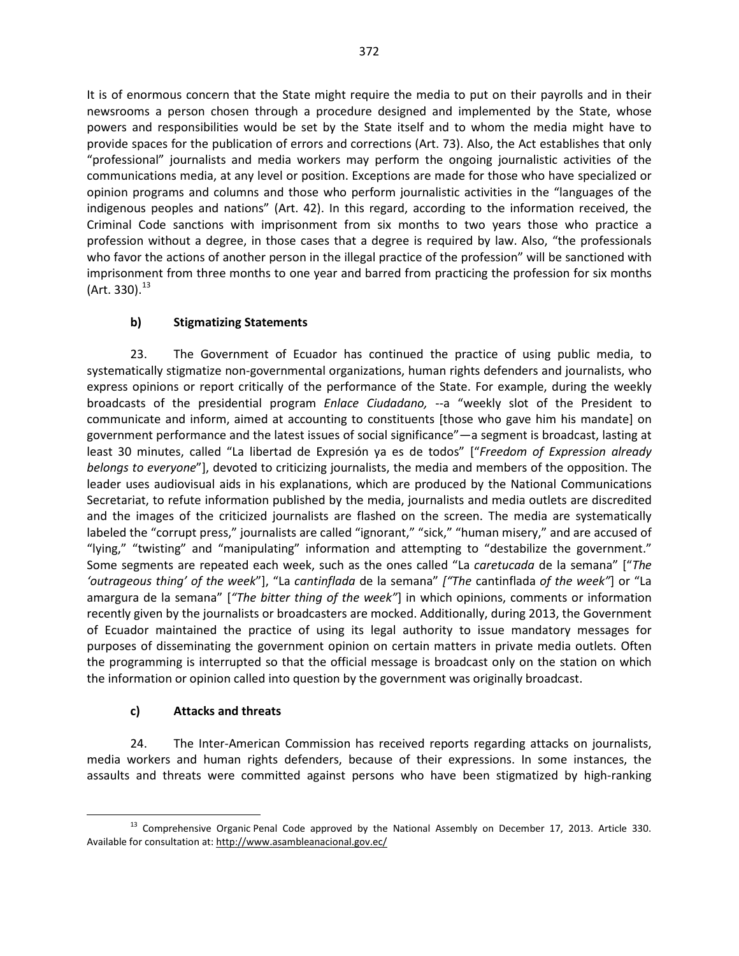It is of enormous concern that the State might require the media to put on their payrolls and in their newsrooms a person chosen through a procedure designed and implemented by the State, whose powers and responsibilities would be set by the State itself and to whom the media might have to provide spaces for the publication of errors and corrections (Art. 73). Also, the Act establishes that only "professional" journalists and media workers may perform the ongoing journalistic activities of the communications media, at any level or position. Exceptions are made for those who have specialized or opinion programs and columns and those who perform journalistic activities in the "languages of the indigenous peoples and nations" (Art. 42). In this regard, according to the information received, the Criminal Code sanctions with imprisonment from six months to two years those who practice a profession without a degree, in those cases that a degree is required by law. Also, "the professionals who favor the actions of another person in the illegal practice of the profession" will be sanctioned with imprisonment from three months to one year and barred from practicing the profession for six months  $(Art. 330).^{13}$  $(Art. 330).^{13}$  $(Art. 330).^{13}$ 

## **b) Stigmatizing Statements**

23. The Government of Ecuador has continued the practice of using public media, to systematically stigmatize non-governmental organizations, human rights defenders and journalists, who express opinions or report critically of the performance of the State. For example, during the weekly broadcasts of the presidential program *Enlace Ciudadano,* --a "weekly slot of the President to communicate and inform, aimed at accounting to constituents [those who gave him his mandate] on government performance and the latest issues of social significance"—a segment is broadcast, lasting at least 30 minutes, called "La libertad de Expresión ya es de todos" ["*Freedom of Expression already belongs to everyone*"], devoted to criticizing journalists, the media and members of the opposition. The leader uses audiovisual aids in his explanations, which are produced by the National Communications Secretariat, to refute information published by the media, journalists and media outlets are discredited and the images of the criticized journalists are flashed on the screen. The media are systematically labeled the "corrupt press," journalists are called "ignorant," "sick," "human misery," and are accused of "lying," "twisting" and "manipulating" information and attempting to "destabilize the government." Some segments are repeated each week, such as the ones called "La *caretucada* de la semana" ["*The 'outrageous thing' of the week*"], "La *cantinflada* de la semana" *["The* cantinflada *of the week"*] or "La amargura de la semana" [*"The bitter thing of the week"*] in which opinions, comments or information recently given by the journalists or broadcasters are mocked. Additionally, during 2013, the Government of Ecuador maintained the practice of using its legal authority to issue mandatory messages for purposes of disseminating the government opinion on certain matters in private media outlets. Often the programming is interrupted so that the official message is broadcast only on the station on which the information or opinion called into question by the government was originally broadcast.

## **c) Attacks and threats**

24. The Inter-American Commission has received reports regarding attacks on journalists, media workers and human rights defenders, because of their expressions. In some instances, the assaults and threats were committed against persons who have been stigmatized by high-ranking

<span id="page-13-0"></span><sup>&</sup>lt;sup>13</sup> Comprehensive Organic Penal Code approved by the National Assembly on December 17, 2013. Article 330. Available for consultation at[: http://www.asambleanacional.gov.ec/](http://www.asambleanacional.gov.ec/)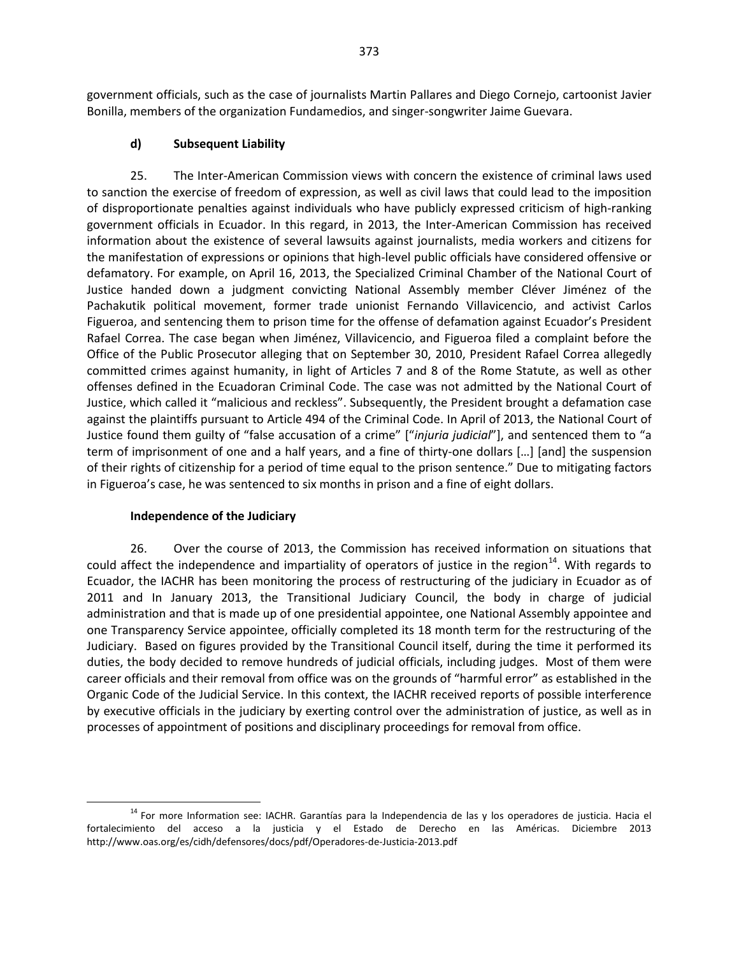government officials, such as the case of journalists Martin Pallares and Diego Cornejo, cartoonist Javier Bonilla, members of the organization Fundamedios, and singer-songwriter Jaime Guevara.

#### **d) Subsequent Liability**

25. The Inter-American Commission views with concern the existence of criminal laws used to sanction the exercise of freedom of expression, as well as civil laws that could lead to the imposition of disproportionate penalties against individuals who have publicly expressed criticism of high-ranking government officials in Ecuador. In this regard, in 2013, the Inter-American Commission has received information about the existence of several lawsuits against journalists, media workers and citizens for the manifestation of expressions or opinions that high-level public officials have considered offensive or defamatory. For example, on April 16, 2013, the Specialized Criminal Chamber of the National Court of Justice handed down a judgment convicting National Assembly member Cléver Jiménez of the Pachakutik political movement, former trade unionist Fernando Villavicencio, and activist Carlos Figueroa, and sentencing them to prison time for the offense of defamation against Ecuador's President Rafael Correa. The case began when Jiménez, Villavicencio, and Figueroa filed a complaint before the Office of the Public Prosecutor alleging that on September 30, 2010, President Rafael Correa allegedly committed crimes against humanity, in light of Articles 7 and 8 of the Rome Statute, as well as other offenses defined in the Ecuadoran Criminal Code. The case was not admitted by the National Court of Justice, which called it "malicious and reckless". Subsequently, the President brought a defamation case against the plaintiffs pursuant to Article 494 of the Criminal Code. In April of 2013, the National Court of Justice found them guilty of "false accusation of a crime" ["*injuria judicial*"], and sentenced them to "a term of imprisonment of one and a half years, and a fine of thirty-one dollars […] [and] the suspension of their rights of citizenship for a period of time equal to the prison sentence." Due to mitigating factors in Figueroa's case, he was sentenced to six months in prison and a fine of eight dollars.

#### **Independence of the Judiciary**

26. Over the course of 2013, the Commission has received information on situations that could affect the independence and impartiality of operators of justice in the region $^{14}$ . With regards to Ecuador, the IACHR has been monitoring the process of restructuring of the judiciary in Ecuador as of 2011 and In January 2013, the Transitional Judiciary Council, the body in charge of judicial administration and that is made up of one presidential appointee, one National Assembly appointee and one Transparency Service appointee, officially completed its 18 month term for the restructuring of the Judiciary. Based on figures provided by the Transitional Council itself, during the time it performed its duties, the body decided to remove hundreds of judicial officials, including judges. Most of them were career officials and their removal from office was on the grounds of "harmful error" as established in the Organic Code of the Judicial Service. In this context, the IACHR received reports of possible interference by executive officials in the judiciary by exerting control over the administration of justice, as well as in processes of appointment of positions and disciplinary proceedings for removal from office.

<span id="page-14-0"></span><sup>&</sup>lt;sup>14</sup> For more Information see: IACHR. Garantías para la Independencia de las y los operadores de justicia. Hacia el fortalecimiento del acceso a la justicia y el Estado de Derecho en las Américas. Diciembre 2013 <http://www.oas.org/es/cidh/defensores/docs/pdf/Operadores-de-Justicia-2013.pdf>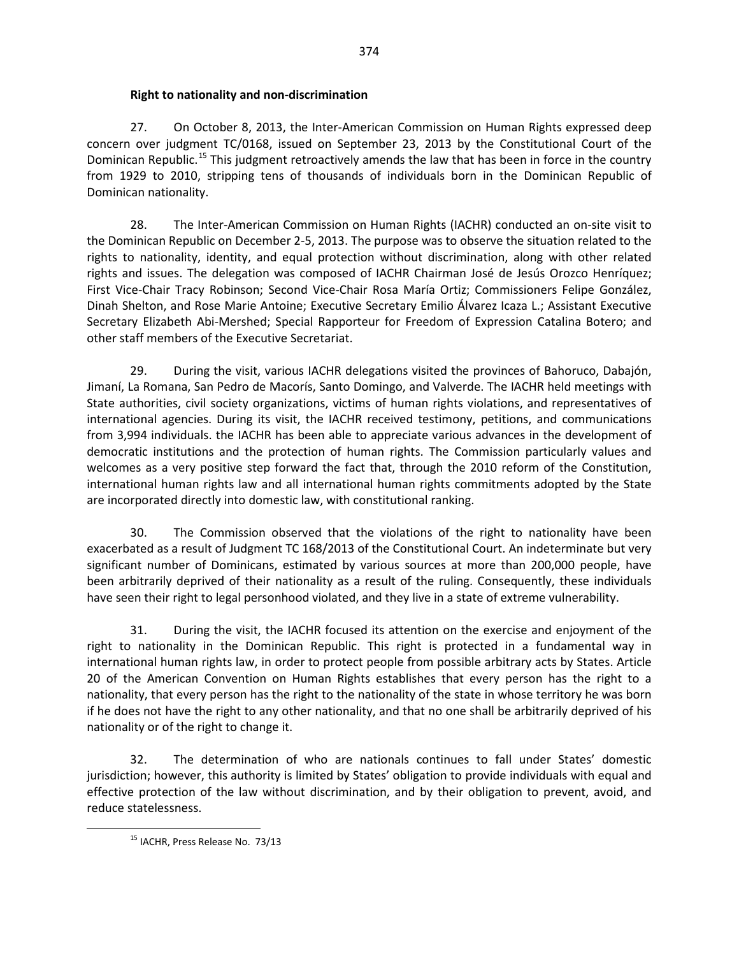### **Right to nationality and non-discrimination**

27. On October 8, 2013, the Inter-American Commission on Human Rights expressed deep concern over judgment TC/0168, issued on September 23, 2013 by the Constitutional Court of the Dominican Republic.<sup>[15](#page-15-0)</sup> This judgment retroactively amends the law that has been in force in the country from 1929 to 2010, stripping tens of thousands of individuals born in the Dominican Republic of Dominican nationality.

28. The Inter-American Commission on Human Rights (IACHR) conducted an on-site visit to the Dominican Republic on December 2-5, 2013. The purpose was to observe the situation related to the rights to nationality, identity, and equal protection without discrimination, along with other related rights and issues. The delegation was composed of IACHR Chairman José de Jesús Orozco Henríquez; First Vice-Chair Tracy Robinson; Second Vice-Chair Rosa María Ortiz; Commissioners Felipe González, Dinah Shelton, and Rose Marie Antoine; Executive Secretary Emilio Álvarez Icaza L.; Assistant Executive Secretary Elizabeth Abi-Mershed; Special Rapporteur for Freedom of Expression Catalina Botero; and other staff members of the Executive Secretariat.

29. During the visit, various IACHR delegations visited the provinces of Bahoruco, Dabajón, Jimaní, La Romana, San Pedro de Macorís, Santo Domingo, and Valverde. The IACHR held meetings with State authorities, civil society organizations, victims of human rights violations, and representatives of international agencies. During its visit, the IACHR received testimony, petitions, and communications from 3,994 individuals. the IACHR has been able to appreciate various advances in the development of democratic institutions and the protection of human rights. The Commission particularly values and welcomes as a very positive step forward the fact that, through the 2010 reform of the Constitution, international human rights law and all international human rights commitments adopted by the State are incorporated directly into domestic law, with constitutional ranking.

30. The Commission observed that the violations of the right to nationality have been exacerbated as a result of Judgment TC 168/2013 of the Constitutional Court. An indeterminate but very significant number of Dominicans, estimated by various sources at more than 200,000 people, have been arbitrarily deprived of their nationality as a result of the ruling. Consequently, these individuals have seen their right to legal personhood violated, and they live in a state of extreme vulnerability.

31. During the visit, the IACHR focused its attention on the exercise and enjoyment of the right to nationality in the Dominican Republic. This right is protected in a fundamental way in international human rights law, in order to protect people from possible arbitrary acts by States. Article 20 of the American Convention on Human Rights establishes that every person has the right to a nationality, that every person has the right to the nationality of the state in whose territory he was born if he does not have the right to any other nationality, and that no one shall be arbitrarily deprived of his nationality or of the right to change it.

<span id="page-15-0"></span>32. The determination of who are nationals continues to fall under States' domestic jurisdiction; however, this authority is limited by States' obligation to provide individuals with equal and effective protection of the law without discrimination, and by their obligation to prevent, avoid, and reduce statelessness.

<sup>&</sup>lt;sup>15</sup> IACHR, Press Release No. 73/13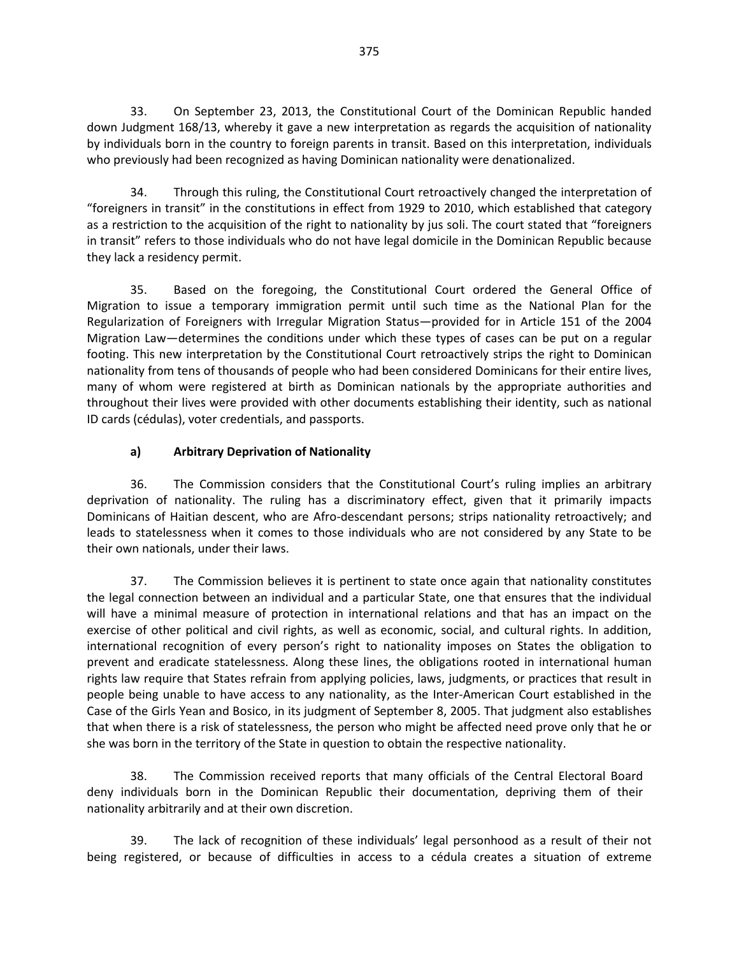33. On September 23, 2013, the Constitutional Court of the Dominican Republic handed down Judgment 168/13, whereby it gave a new interpretation as regards the acquisition of nationality by individuals born in the country to foreign parents in transit. Based on this interpretation, individuals who previously had been recognized as having Dominican nationality were denationalized.

34. Through this ruling, the Constitutional Court retroactively changed the interpretation of "foreigners in transit" in the constitutions in effect from 1929 to 2010, which established that category as a restriction to the acquisition of the right to nationality by jus soli. The court stated that "foreigners in transit" refers to those individuals who do not have legal domicile in the Dominican Republic because they lack a residency permit.

35. Based on the foregoing, the Constitutional Court ordered the General Office of Migration to issue a temporary immigration permit until such time as the National Plan for the Regularization of Foreigners with Irregular Migration Status—provided for in Article 151 of the 2004 Migration Law—determines the conditions under which these types of cases can be put on a regular footing. This new interpretation by the Constitutional Court retroactively strips the right to Dominican nationality from tens of thousands of people who had been considered Dominicans for their entire lives, many of whom were registered at birth as Dominican nationals by the appropriate authorities and throughout their lives were provided with other documents establishing their identity, such as national ID cards (cédulas), voter credentials, and passports.

## **a) Arbitrary Deprivation of Nationality**

36. The Commission considers that the Constitutional Court's ruling implies an arbitrary deprivation of nationality. The ruling has a discriminatory effect, given that it primarily impacts Dominicans of Haitian descent, who are Afro-descendant persons; strips nationality retroactively; and leads to statelessness when it comes to those individuals who are not considered by any State to be their own nationals, under their laws.

37. The Commission believes it is pertinent to state once again that nationality constitutes the legal connection between an individual and a particular State, one that ensures that the individual will have a minimal measure of protection in international relations and that has an impact on the exercise of other political and civil rights, as well as economic, social, and cultural rights. In addition, international recognition of every person's right to nationality imposes on States the obligation to prevent and eradicate statelessness. Along these lines, the obligations rooted in international human rights law require that States refrain from applying policies, laws, judgments, or practices that result in people being unable to have access to any nationality, as the Inter-American Court established in the Case of the Girls Yean and Bosico, in its judgment of September 8, 2005. That judgment also establishes that when there is a risk of statelessness, the person who might be affected need prove only that he or she was born in the territory of the State in question to obtain the respective nationality.

38. The Commission received reports that many officials of the Central Electoral Board deny individuals born in the Dominican Republic their documentation, depriving them of their nationality arbitrarily and at their own discretion.

39. The lack of recognition of these individuals' legal personhood as a result of their not being registered, or because of difficulties in access to a cédula creates a situation of extreme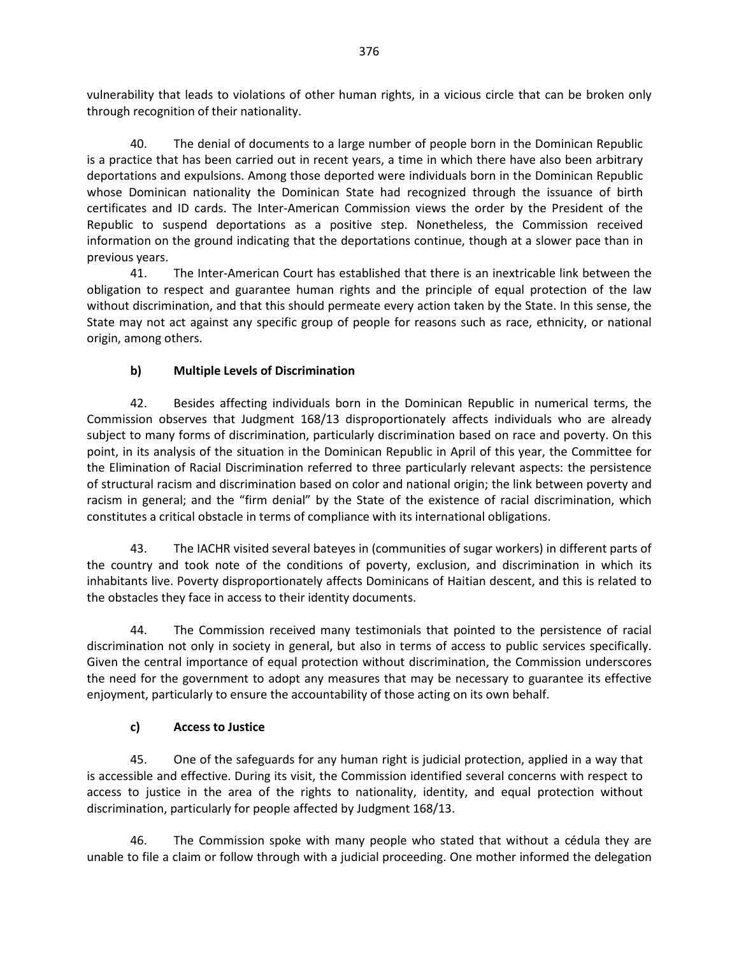vulnerability that leads to violations of other human rights, in a vicious circle that can be broken only through recognition of their nationality.

40. The denial of documents to a large number of people born in the Dominican Republic is a practice that has been carried out in recent years, a time in which there have also been arbitrary deportations and expulsions. Among those deported were individuals born in the Dominican Republic whose Dominican nationality the Dominican State had recognized through the issuance of birth certificates and ID cards. The Inter-American Commission views the order by the President of the Republic to suspend deportations as a positive step. Nonetheless, the Commission received information on the ground indicating that the deportations continue, though at a slower pace than in previous years.

41. The Inter-American Court has established that there is an inextricable link between the obligation to respect and guarantee human rights and the principle of equal protection of the law without discrimination, and that this should permeate every action taken by the State. In this sense, the State may not act against any specific group of people for reasons such as race, ethnicity, or national origin, among others.

## **b) Multiple Levels of Discrimination**

42. Besides affecting individuals born in the Dominican Republic in numerical terms, the Commission observes that Judgment 168/13 disproportionately affects individuals who are already subject to many forms of discrimination, particularly discrimination based on race and poverty. On this point, in its analysis of the situation in the Dominican Republic in April of this year, the Committee for the Elimination of Racial Discrimination referred to three particularly relevant aspects: the persistence of structural racism and discrimination based on color and national origin; the link between poverty and racism in general; and the "firm denial" by the State of the existence of racial discrimination, which constitutes a critical obstacle in terms of compliance with its international obligations.

43. The IACHR visited several bateyes in (communities of sugar workers) in different parts of the country and took note of the conditions of poverty, exclusion, and discrimination in which its inhabitants live. Poverty disproportionately affects Dominicans of Haitian descent, and this is related to the obstacles they face in access to their identity documents.

44. The Commission received many testimonials that pointed to the persistence of racial discrimination not only in society in general, but also in terms of access to public services specifically. Given the central importance of equal protection without discrimination, the Commission underscores the need for the government to adopt any measures that may be necessary to guarantee its effective enjoyment, particularly to ensure the accountability of those acting on its own behalf.

#### **c) Access to Justice**

45. One of the safeguards for any human right is judicial protection, applied in a way that is accessible and effective. During its visit, the Commission identified several concerns with respect to access to justice in the area of the rights to nationality, identity, and equal protection without discrimination, particularly for people affected by Judgment 168/13.

46. The Commission spoke with many people who stated that without a cédula they are unable to file a claim or follow through with a judicial proceeding. One mother informed the delegation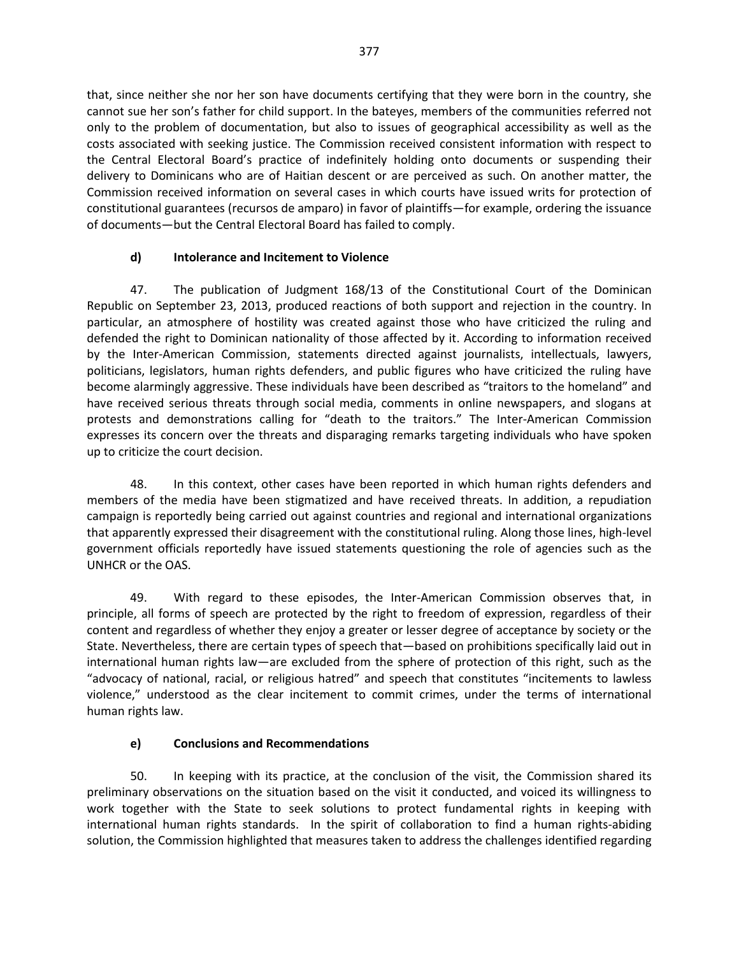that, since neither she nor her son have documents certifying that they were born in the country, she cannot sue her son's father for child support. In the bateyes, members of the communities referred not only to the problem of documentation, but also to issues of geographical accessibility as well as the costs associated with seeking justice. The Commission received consistent information with respect to the Central Electoral Board's practice of indefinitely holding onto documents or suspending their delivery to Dominicans who are of Haitian descent or are perceived as such. On another matter, the Commission received information on several cases in which courts have issued writs for protection of constitutional guarantees (recursos de amparo) in favor of plaintiffs—for example, ordering the issuance of documents—but the Central Electoral Board has failed to comply.

# **d) Intolerance and Incitement to Violence**

47. The publication of Judgment 168/13 of the Constitutional Court of the Dominican Republic on September 23, 2013, produced reactions of both support and rejection in the country. In particular, an atmosphere of hostility was created against those who have criticized the ruling and defended the right to Dominican nationality of those affected by it. According to information received by the Inter-American Commission, statements directed against journalists, intellectuals, lawyers, politicians, legislators, human rights defenders, and public figures who have criticized the ruling have become alarmingly aggressive. These individuals have been described as "traitors to the homeland" and have received serious threats through social media, comments in online newspapers, and slogans at protests and demonstrations calling for "death to the traitors." The Inter-American Commission expresses its concern over the threats and disparaging remarks targeting individuals who have spoken up to criticize the court decision.

48. In this context, other cases have been reported in which human rights defenders and members of the media have been stigmatized and have received threats. In addition, a repudiation campaign is reportedly being carried out against countries and regional and international organizations that apparently expressed their disagreement with the constitutional ruling. Along those lines, high-level government officials reportedly have issued statements questioning the role of agencies such as the UNHCR or the OAS.

49. With regard to these episodes, the Inter-American Commission observes that, in principle, all forms of speech are protected by the right to freedom of expression, regardless of their content and regardless of whether they enjoy a greater or lesser degree of acceptance by society or the State. Nevertheless, there are certain types of speech that—based on prohibitions specifically laid out in international human rights law—are excluded from the sphere of protection of this right, such as the "advocacy of national, racial, or religious hatred" and speech that constitutes "incitements to lawless violence," understood as the clear incitement to commit crimes, under the terms of international human rights law.

## **e) Conclusions and Recommendations**

50. In keeping with its practice, at the conclusion of the visit, the Commission shared its preliminary observations on the situation based on the visit it conducted, and voiced its willingness to work together with the State to seek solutions to protect fundamental rights in keeping with international human rights standards. In the spirit of collaboration to find a human rights-abiding solution, the Commission highlighted that measures taken to address the challenges identified regarding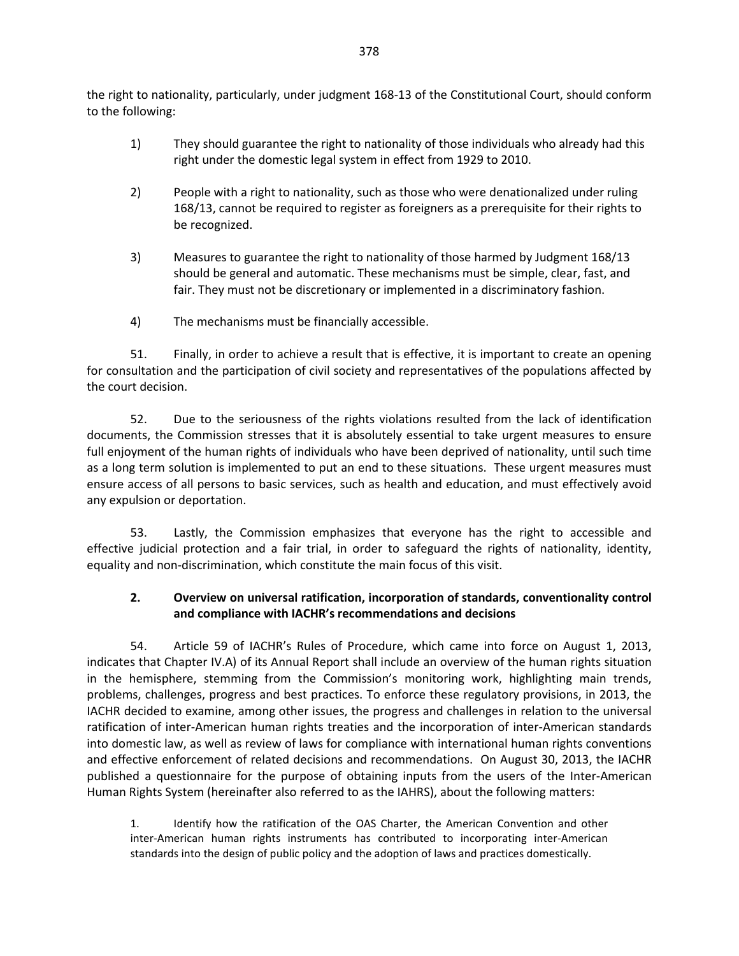the right to nationality, particularly, under judgment 168-13 of the Constitutional Court, should conform to the following:

- 1) They should guarantee the right to nationality of those individuals who already had this right under the domestic legal system in effect from 1929 to 2010.
- 2) People with a right to nationality, such as those who were denationalized under ruling 168/13, cannot be required to register as foreigners as a prerequisite for their rights to be recognized.
- 3) Measures to guarantee the right to nationality of those harmed by Judgment 168/13 should be general and automatic. These mechanisms must be simple, clear, fast, and fair. They must not be discretionary or implemented in a discriminatory fashion.
- 4) The mechanisms must be financially accessible.

51. Finally, in order to achieve a result that is effective, it is important to create an opening for consultation and the participation of civil society and representatives of the populations affected by the court decision.

52. Due to the seriousness of the rights violations resulted from the lack of identification documents, the Commission stresses that it is absolutely essential to take urgent measures to ensure full enjoyment of the human rights of individuals who have been deprived of nationality, until such time as a long term solution is implemented to put an end to these situations. These urgent measures must ensure access of all persons to basic services, such as health and education, and must effectively avoid any expulsion or deportation.

53. Lastly, the Commission emphasizes that everyone has the right to accessible and effective judicial protection and a fair trial, in order to safeguard the rights of nationality, identity, equality and non-discrimination, which constitute the main focus of this visit.

## **2. Overview on universal ratification, incorporation of standards, conventionality control and compliance with IACHR's recommendations and decisions**

54. Article 59 of IACHR's Rules of Procedure, which came into force on August 1, 2013, indicates that Chapter IV.A) of its Annual Report shall include an overview of the human rights situation in the hemisphere, stemming from the Commission's monitoring work, highlighting main trends, problems, challenges, progress and best practices. To enforce these regulatory provisions, in 2013, the IACHR decided to examine, among other issues, the progress and challenges in relation to the universal ratification of inter-American human rights treaties and the incorporation of inter-American standards into domestic law, as well as review of laws for compliance with international human rights conventions and effective enforcement of related decisions and recommendations. On August 30, 2013, the IACHR published a questionnaire for the purpose of obtaining inputs from the users of the Inter-American Human Rights System (hereinafter also referred to as the IAHRS), about the following matters:

1. Identify how the ratification of the OAS Charter, the American Convention and other inter-American human rights instruments has contributed to incorporating inter-American standards into the design of public policy and the adoption of laws and practices domestically.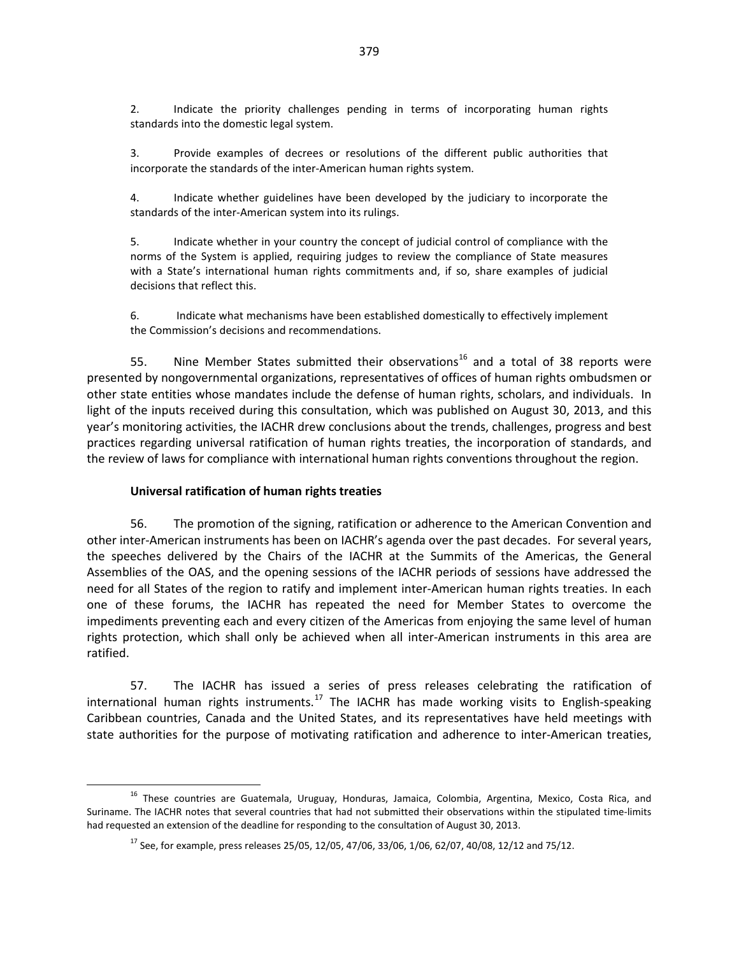2. Indicate the priority challenges pending in terms of incorporating human rights standards into the domestic legal system.

3. Provide examples of decrees or resolutions of the different public authorities that incorporate the standards of the inter-American human rights system.

4. Indicate whether guidelines have been developed by the judiciary to incorporate the standards of the inter-American system into its rulings.

5. Indicate whether in your country the concept of judicial control of compliance with the norms of the System is applied, requiring judges to review the compliance of State measures with a State's international human rights commitments and, if so, share examples of judicial decisions that reflect this.

6. Indicate what mechanisms have been established domestically to effectively implement the Commission's decisions and recommendations.

55. Nine Member States submitted their observations<sup>[16](#page-20-0)</sup> and a total of 38 reports were presented by nongovernmental organizations, representatives of offices of human rights ombudsmen or other state entities whose mandates include the defense of human rights, scholars, and individuals. In light of the inputs received during this consultation, which was published on August 30, 2013, and this year's monitoring activities, the IACHR drew conclusions about the trends, challenges, progress and best practices regarding universal ratification of human rights treaties, the incorporation of standards, and the review of laws for compliance with international human rights conventions throughout the region.

#### **Universal ratification of human rights treaties**

56. The promotion of the signing, ratification or adherence to the American Convention and other inter-American instruments has been on IACHR's agenda over the past decades. For several years, the speeches delivered by the Chairs of the IACHR at the Summits of the Americas, the General Assemblies of the OAS, and the opening sessions of the IACHR periods of sessions have addressed the need for all States of the region to ratify and implement inter-American human rights treaties. In each one of these forums, the IACHR has repeated the need for Member States to overcome the impediments preventing each and every citizen of the Americas from enjoying the same level of human rights protection, which shall only be achieved when all inter-American instruments in this area are ratified.

57. The IACHR has issued a series of press releases celebrating the ratification of international human rights instruments.<sup>[17](#page-20-1)</sup> The IACHR has made working visits to English-speaking Caribbean countries, Canada and the United States, and its representatives have held meetings with state authorities for the purpose of motivating ratification and adherence to inter-American treaties,

<span id="page-20-1"></span><span id="page-20-0"></span><sup>&</sup>lt;sup>16</sup> These countries are Guatemala, Uruguay, Honduras, Jamaica, Colombia, Argentina, Mexico, Costa Rica, and Suriname. The IACHR notes that several countries that had not submitted their observations within the stipulated time-limits had requested an extension of the deadline for responding to the consultation of August 30, 2013.

 $^{17}$  See, for example, press releases 25/05, 12/05, 47/06, 33/06, 1/06, 62/07, 40/08, 12/12 and 75/12.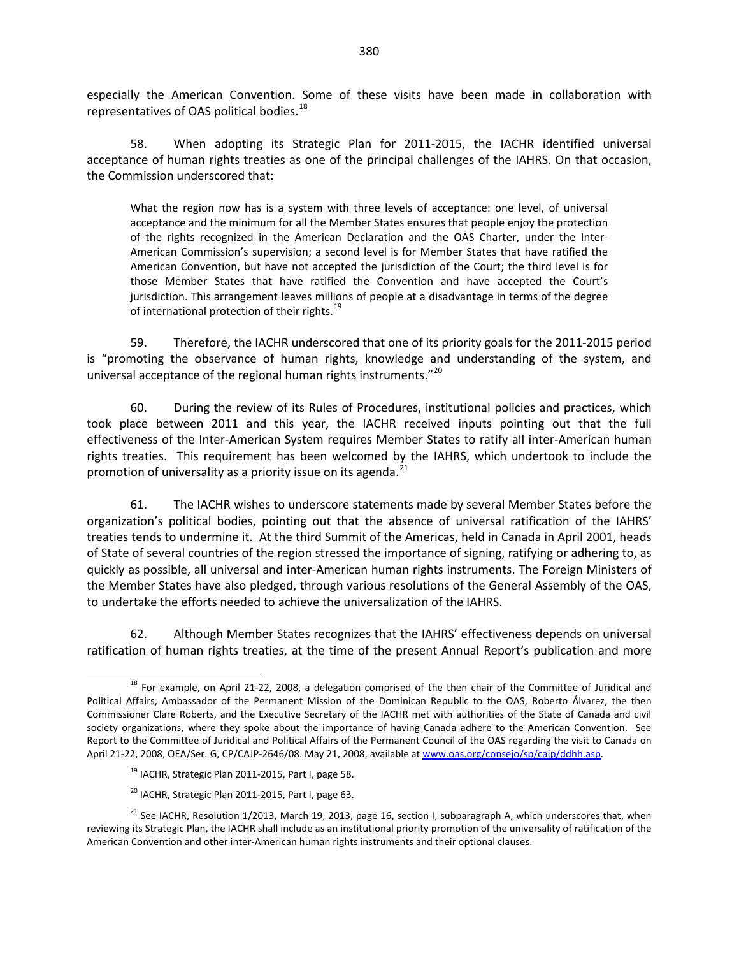especially the American Convention. Some of these visits have been made in collaboration with representatives of OAS political bodies.<sup>[18](#page-21-0)</sup>

58. When adopting its Strategic Plan for 2011-2015, the IACHR identified universal acceptance of human rights treaties as one of the principal challenges of the IAHRS. On that occasion, the Commission underscored that:

What the region now has is a system with three levels of acceptance: one level, of universal acceptance and the minimum for all the Member States ensures that people enjoy the protection of the rights recognized in the American Declaration and the OAS Charter, under the Inter-American Commission's supervision; a second level is for Member States that have ratified the American Convention, but have not accepted the jurisdiction of the Court; the third level is for those Member States that have ratified the Convention and have accepted the Court's jurisdiction. This arrangement leaves millions of people at a disadvantage in terms of the degree of international protection of their rights.<sup>[19](#page-21-1)</sup>

59. Therefore, the IACHR underscored that one of its priority goals for the 2011-2015 period is "promoting the observance of human rights, knowledge and understanding of the system, and universal acceptance of the regional human rights instruments."<sup>[20](#page-21-2)</sup>

60. During the review of its Rules of Procedures, institutional policies and practices, which took place between 2011 and this year, the IACHR received inputs pointing out that the full effectiveness of the Inter-American System requires Member States to ratify all inter-American human rights treaties. This requirement has been welcomed by the IAHRS, which undertook to include the promotion of universality as a priority issue on its agenda. $^{21}$  $^{21}$  $^{21}$ 

61. The IACHR wishes to underscore statements made by several Member States before the organization's political bodies, pointing out that the absence of universal ratification of the IAHRS' treaties tends to undermine it. At the third Summit of the Americas, held in Canada in April 2001, heads of State of several countries of the region stressed the importance of signing, ratifying or adhering to, as quickly as possible, all universal and inter-American human rights instruments. The Foreign Ministers of the Member States have also pledged, through various resolutions of the General Assembly of the OAS, to undertake the efforts needed to achieve the universalization of the IAHRS.

62. Although Member States recognizes that the IAHRS' effectiveness depends on universal ratification of human rights treaties, at the time of the present Annual Report's publication and more

- <sup>19</sup> IACHR, Strategic Plan 2011-2015, Part I, page 58.
- <sup>20</sup> IACHR, Strategic Plan 2011-2015, Part I, page 63.

<span id="page-21-0"></span><sup>&</sup>lt;sup>18</sup> For example, on April 21-22, 2008, a delegation comprised of the then chair of the Committee of Juridical and Political Affairs, Ambassador of the Permanent Mission of the Dominican Republic to the OAS, Roberto Álvarez, the then Commissioner Clare Roberts, and the Executive Secretary of the IACHR met with authorities of the State of Canada and civil society organizations, where they spoke about the importance of having Canada adhere to the American Convention. See Report to the Committee of Juridical and Political Affairs of the Permanent Council of the OAS regarding the visit to Canada on April 21-22, 2008, OEA/Ser. G, CP/CAJP-2646/08. May 21, 2008, available a[t www.oas.org/consejo/sp/cajp/ddhh.asp.](http://www.oas.org/consejo/sp/cajp/ddhh.asp)

<span id="page-21-3"></span><span id="page-21-2"></span><span id="page-21-1"></span><sup>&</sup>lt;sup>21</sup> See IACHR, Resolution 1/2013, March 19, 2013, page 16, section I, subparagraph A, which underscores that, when reviewing its Strategic Plan, the IACHR shall include as an institutional priority promotion of the universality of ratification of the American Convention and other inter-American human rights instruments and their optional clauses.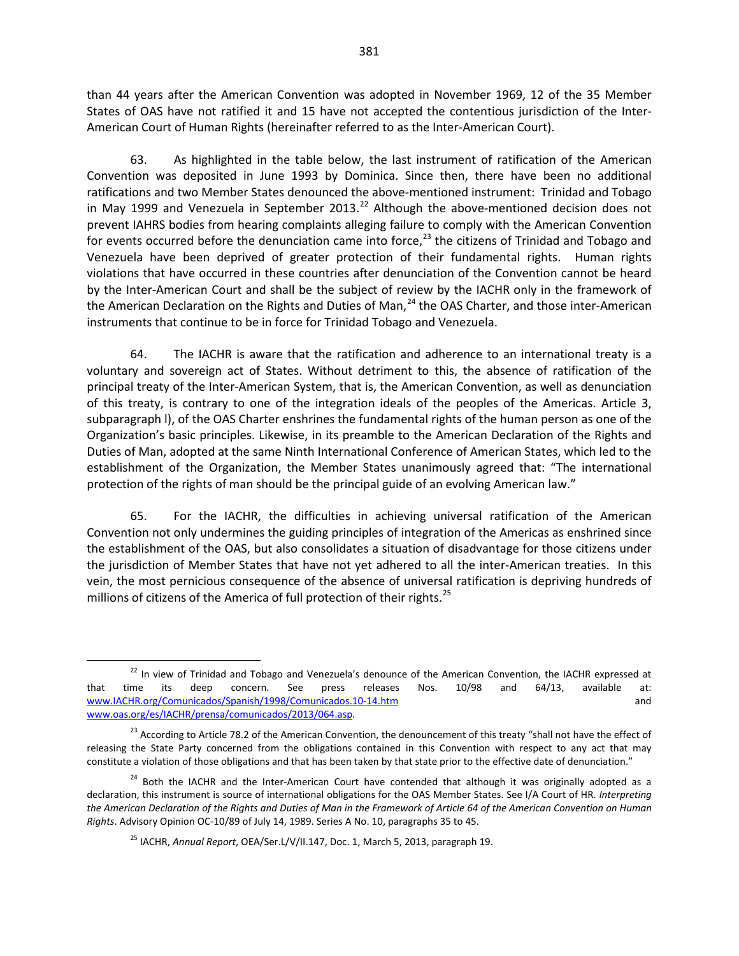than 44 years after the American Convention was adopted in November 1969, 12 of the 35 Member States of OAS have not ratified it and 15 have not accepted the contentious jurisdiction of the Inter-American Court of Human Rights (hereinafter referred to as the Inter-American Court).

63. As highlighted in the table below, the last instrument of ratification of the American Convention was deposited in June 1993 by Dominica. Since then, there have been no additional ratifications and two Member States denounced the above-mentioned instrument: Trinidad and Tobago in May 1999 and Venezuela in September 2013.<sup>[22](#page-22-0)</sup> Although the above-mentioned decision does not prevent IAHRS bodies from hearing complaints alleging failure to comply with the American Convention for events occurred before the denunciation came into force, $^{23}$  $^{23}$  $^{23}$  the citizens of Trinidad and Tobago and Venezuela have been deprived of greater protection of their fundamental rights. Human rights violations that have occurred in these countries after denunciation of the Convention cannot be heard by the Inter-American Court and shall be the subject of review by the IACHR only in the framework of the American Declaration on the Rights and Duties of Man, $^{24}$  $^{24}$  $^{24}$  the OAS Charter, and those inter-American instruments that continue to be in force for Trinidad Tobago and Venezuela.

64. The IACHR is aware that the ratification and adherence to an international treaty is a voluntary and sovereign act of States. Without detriment to this, the absence of ratification of the principal treaty of the Inter-American System, that is, the American Convention, as well as denunciation of this treaty, is contrary to one of the integration ideals of the peoples of the Americas. Article 3, subparagraph l), of the OAS Charter enshrines the fundamental rights of the human person as one of the Organization's basic principles. Likewise, in its preamble to the American Declaration of the Rights and Duties of Man, adopted at the same Ninth International Conference of American States, which led to the establishment of the Organization, the Member States unanimously agreed that: "The international protection of the rights of man should be the principal guide of an evolving American law."

65. For the IACHR, the difficulties in achieving universal ratification of the American Convention not only undermines the guiding principles of integration of the Americas as enshrined since the establishment of the OAS, but also consolidates a situation of disadvantage for those citizens under the jurisdiction of Member States that have not yet adhered to all the inter-American treaties. In this vein, the most pernicious consequence of the absence of universal ratification is depriving hundreds of millions of citizens of the America of full protection of their rights.<sup>[25](#page-22-3)</sup>

<span id="page-22-0"></span><sup>&</sup>lt;sup>22</sup> In view of Trinidad and Tobago and Venezuela's denounce of the American Convention, the IACHR expressed at that time its deep concern. See press releases Nos. 10/98 and 64/13, available at: [www.IACHR.org/Comunicados/Spanish/1998/Comunicados.10-14.htm](http://www.cidh.org/Comunicados/Spanish/1998/Comunicados.10-14.htm) and [www.oas.org/es/IACHR/prensa/comunicados/2013/064.asp.](http://www.oas.org/es/cidh/prensa/comunicados/2013/064.asp)

<span id="page-22-1"></span><sup>&</sup>lt;sup>23</sup> According to Article 78.2 of the American Convention, the denouncement of this treaty "shall not have the effect of releasing the State Party concerned from the obligations contained in this Convention with respect to any act that may constitute a violation of those obligations and that has been taken by that state prior to the effective date of denunciation."

<span id="page-22-3"></span><span id="page-22-2"></span><sup>&</sup>lt;sup>24</sup> Both the IACHR and the Inter-American Court have contended that although it was originally adopted as a declaration, this instrument is source of international obligations for the OAS Member States. See I/A Court of HR. *Interpreting the American Declaration of the Rights and Duties of Man in the Framework of Article 64 of the American Convention on Human Rights*. Advisory Opinion OC-10/89 of July 14, 1989. Series A No. 10, paragraphs 35 to 45.

<sup>25</sup> IACHR, *Annual Report*, OEA/Ser.L/V/II.147, Doc. 1, March 5, 2013, paragraph 19.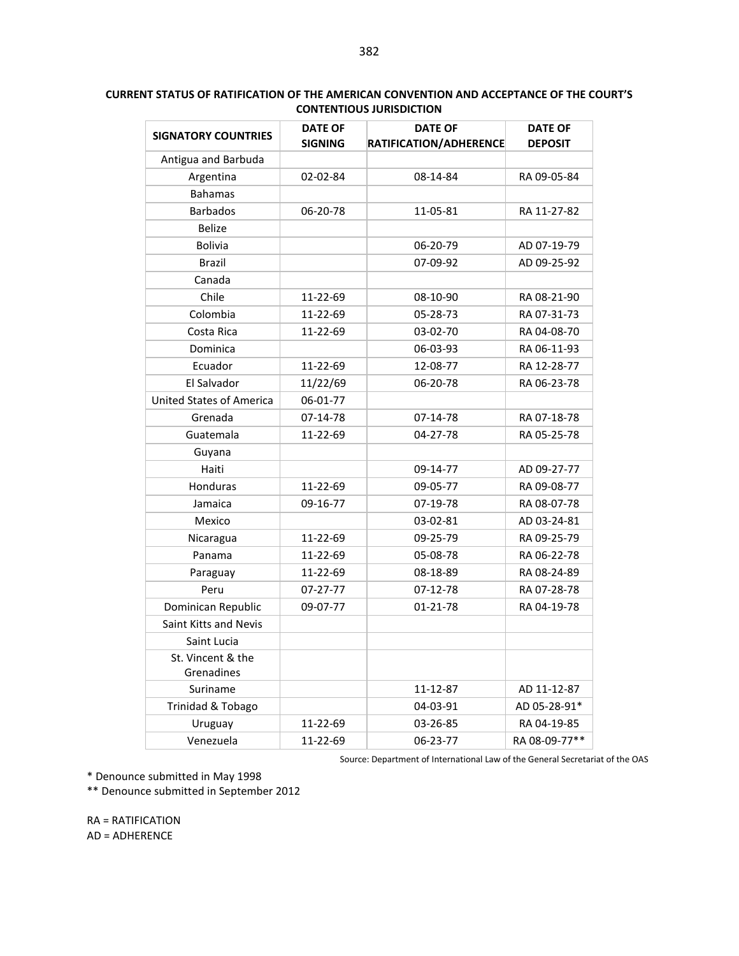| <b>SIGNATORY COUNTRIES</b>      | <b>DATE OF</b><br><b>SIGNING</b> | <b>DATE OF</b><br>RATIFICATION/ADHERENCE | <b>DATE OF</b><br><b>DEPOSIT</b> |  |
|---------------------------------|----------------------------------|------------------------------------------|----------------------------------|--|
| Antigua and Barbuda             |                                  |                                          |                                  |  |
| Argentina                       | 02-02-84                         | 08-14-84                                 | RA 09-05-84                      |  |
| <b>Bahamas</b>                  |                                  |                                          |                                  |  |
| <b>Barbados</b>                 | 06-20-78                         | 11-05-81                                 | RA 11-27-82                      |  |
| <b>Belize</b>                   |                                  |                                          |                                  |  |
| <b>Bolivia</b>                  |                                  | 06-20-79                                 | AD 07-19-79                      |  |
| <b>Brazil</b>                   |                                  | 07-09-92                                 | AD 09-25-92                      |  |
| Canada                          |                                  |                                          |                                  |  |
| Chile                           | 11-22-69                         | 08-10-90                                 | RA 08-21-90                      |  |
| Colombia                        | 11-22-69                         | 05-28-73                                 | RA 07-31-73                      |  |
| Costa Rica                      | 11-22-69                         | 03-02-70                                 | RA 04-08-70                      |  |
| Dominica                        |                                  | 06-03-93                                 | RA 06-11-93                      |  |
| Ecuador                         | 11-22-69                         | 12-08-77                                 | RA 12-28-77                      |  |
| El Salvador                     | 11/22/69                         | 06-20-78                                 | RA 06-23-78                      |  |
| <b>United States of America</b> | 06-01-77                         |                                          |                                  |  |
| Grenada                         | 07-14-78                         | 07-14-78                                 | RA 07-18-78                      |  |
| Guatemala                       | 11-22-69                         | 04-27-78                                 | RA 05-25-78                      |  |
| Guyana                          |                                  |                                          |                                  |  |
| Haiti                           |                                  | 09-14-77                                 | AD 09-27-77                      |  |
| Honduras                        | 11-22-69                         | 09-05-77                                 | RA 09-08-77                      |  |
| Jamaica                         | 09-16-77                         | 07-19-78                                 | RA 08-07-78                      |  |
| Mexico                          |                                  | 03-02-81                                 | AD 03-24-81                      |  |
| Nicaragua                       | 11-22-69                         | 09-25-79                                 | RA 09-25-79                      |  |
| Panama                          | 11-22-69                         | 05-08-78                                 | RA 06-22-78                      |  |
| Paraguay                        | 11-22-69                         | 08-18-89                                 | RA 08-24-89                      |  |
| Peru                            | 07-27-77                         | 07-12-78                                 | RA 07-28-78                      |  |
| Dominican Republic              | 09-07-77                         | $01 - 21 - 78$                           | RA 04-19-78                      |  |
| Saint Kitts and Nevis           |                                  |                                          |                                  |  |
| Saint Lucia                     |                                  |                                          |                                  |  |
| St. Vincent & the<br>Grenadines |                                  |                                          |                                  |  |
| Suriname                        |                                  | 11-12-87                                 | AD 11-12-87                      |  |
| Trinidad & Tobago               |                                  | 04-03-91                                 | AD 05-28-91*                     |  |
| Uruguay                         | 11-22-69                         | 03-26-85                                 | RA 04-19-85                      |  |
| Venezuela                       | 11-22-69                         | 06-23-77                                 | RA 08-09-77**                    |  |

#### **CURRENT STATUS OF RATIFICATION OF THE AMERICAN CONVENTION AND ACCEPTANCE OF THE COURT'S CONTENTIOUS JURISDICTION**

Source: Department of International Law of the General Secretariat of the OAS

\* Denounce submitted in May 1998

\*\* Denounce submitted in September 2012

RA = RATIFICATION AD = ADHERENCE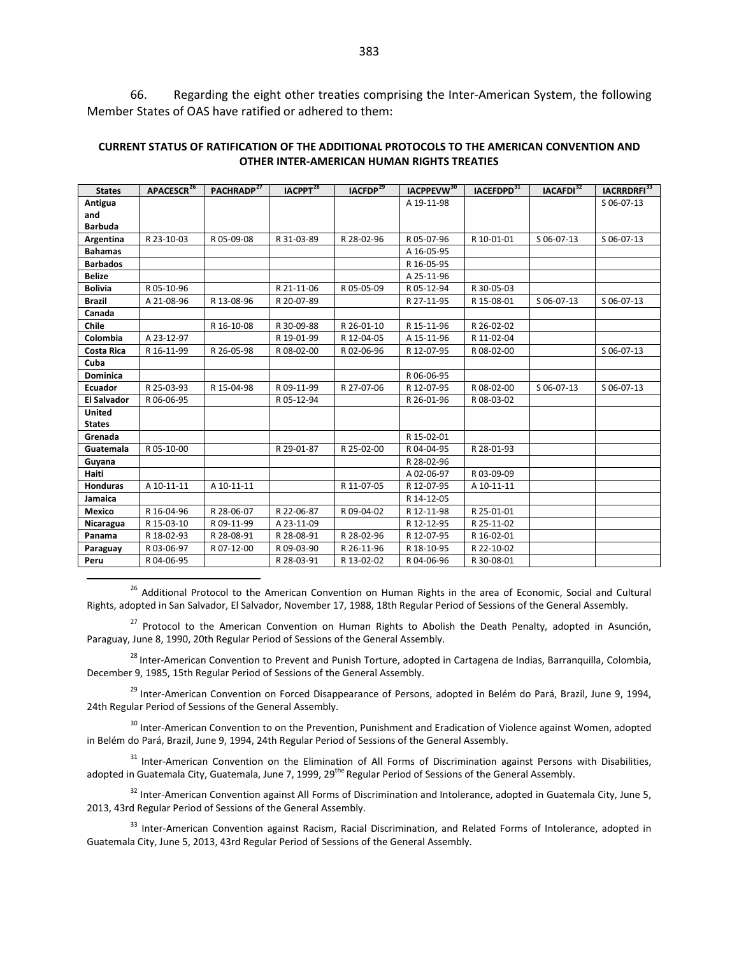66. Regarding the eight other treaties comprising the Inter-American System, the following Member States of OAS have ratified or adhered to them:

| CURRENT STATUS OF RATIFICATION OF THE ADDITIONAL PROTOCOLS TO THE AMERICAN CONVENTION AND |
|-------------------------------------------------------------------------------------------|
| OTHER INTER-AMERICAN HUMAN RIGHTS TREATIES                                                |
|                                                                                           |

| <b>States</b>      | APACESCR <sup>26</sup> | PACHRADP <sup>27</sup> | IACPPT <sup>28</sup> | IACFDP <sup>29</sup> | IACPPEVW <sup>30</sup> | IACEFDPD <sup>31</sup> | IACAFDI <sup>32</sup> | IACRRDRFI <sup>33</sup> |
|--------------------|------------------------|------------------------|----------------------|----------------------|------------------------|------------------------|-----------------------|-------------------------|
| Antigua            |                        |                        |                      |                      | A 19-11-98             |                        |                       | S 06-07-13              |
| and                |                        |                        |                      |                      |                        |                        |                       |                         |
| <b>Barbuda</b>     |                        |                        |                      |                      |                        |                        |                       |                         |
| Argentina          | R 23-10-03             | R 05-09-08             | R 31-03-89           | R 28-02-96           | R 05-07-96             | R 10-01-01             | S 06-07-13            | S 06-07-13              |
| <b>Bahamas</b>     |                        |                        |                      |                      | A 16-05-95             |                        |                       |                         |
| <b>Barbados</b>    |                        |                        |                      |                      | R 16-05-95             |                        |                       |                         |
| <b>Belize</b>      |                        |                        |                      |                      | A 25-11-96             |                        |                       |                         |
| <b>Bolivia</b>     | R 05-10-96             |                        | R 21-11-06           | R 05-05-09           | R 05-12-94             | R 30-05-03             |                       |                         |
| <b>Brazil</b>      | A 21-08-96             | R 13-08-96             | R 20-07-89           |                      | R 27-11-95             | R 15-08-01             | S 06-07-13            | S 06-07-13              |
| Canada             |                        |                        |                      |                      |                        |                        |                       |                         |
| Chile              |                        | R 16-10-08             | R 30-09-88           | R 26-01-10           | R 15-11-96             | R 26-02-02             |                       |                         |
| Colombia           | A 23-12-97             |                        | R 19-01-99           | R 12-04-05           | A 15-11-96             | R 11-02-04             |                       |                         |
| <b>Costa Rica</b>  | R 16-11-99             | R 26-05-98             | R 08-02-00           | R02-06-96            | R 12-07-95             | R 08-02-00             |                       | S 06-07-13              |
| Cuba               |                        |                        |                      |                      |                        |                        |                       |                         |
| Dominica           |                        |                        |                      |                      | R 06-06-95             |                        |                       |                         |
| Ecuador            | R 25-03-93             | R 15-04-98             | R 09-11-99           | R 27-07-06           | R 12-07-95             | R 08-02-00             | S 06-07-13            | S 06-07-13              |
| <b>El Salvador</b> | R 06-06-95             |                        | R 05-12-94           |                      | R 26-01-96             | R 08-03-02             |                       |                         |
| United             |                        |                        |                      |                      |                        |                        |                       |                         |
| <b>States</b>      |                        |                        |                      |                      |                        |                        |                       |                         |
| Grenada            |                        |                        |                      |                      | R 15-02-01             |                        |                       |                         |
| Guatemala          | R 05-10-00             |                        | R 29-01-87           | R 25-02-00           | R 04-04-95             | R 28-01-93             |                       |                         |
| Guyana             |                        |                        |                      |                      | R 28-02-96             |                        |                       |                         |
| Haiti              |                        |                        |                      |                      | A 02-06-97             | R 03-09-09             |                       |                         |
| Honduras           | A 10-11-11             | A 10-11-11             |                      | R 11-07-05           | R 12-07-95             | A 10-11-11             |                       |                         |
| Jamaica            |                        |                        |                      |                      | R 14-12-05             |                        |                       |                         |
| Mexico             | R 16-04-96             | R 28-06-07             | R 22-06-87           | R 09-04-02           | R 12-11-98             | R 25-01-01             |                       |                         |
| Nicaragua          | R 15-03-10             | R 09-11-99             | A 23-11-09           |                      | R 12-12-95             | R 25-11-02             |                       |                         |
| Panama             | R 18-02-93             | R 28-08-91             | R 28-08-91           | R 28-02-96           | R 12-07-95             | R 16-02-01             |                       |                         |
| Paraguay           | R 03-06-97             | R 07-12-00             | R 09-03-90           | R 26-11-96           | R 18-10-95             | R 22-10-02             |                       |                         |
| Peru               | R 04-06-95             |                        | R 28-03-91           | R 13-02-02           | R 04-06-96             | R 30-08-01             |                       |                         |

<span id="page-24-0"></span><sup>26</sup> Additional Protocol to the American Convention on Human Rights in the area of Economic, Social and Cultural Rights, adopted in San Salvador, El Salvador, November 17, 1988, 18th Regular Period of Sessions of the General Assembly.

<span id="page-24-1"></span><sup>27</sup> Protocol to the American Convention on Human Rights to Abolish the Death Penalty, adopted in Asunción, Paraguay, June 8, 1990, 20th Regular Period of Sessions of the General Assembly.

<span id="page-24-2"></span><sup>28</sup> Inter-American Convention to Prevent and Punish Torture, adopted in Cartagena de Indias, Barranquilla, Colombia, December 9, 1985, 15th Regular Period of Sessions of the General Assembly.

<span id="page-24-3"></span><sup>29</sup> Inter-American Convention on Forced Disappearance of Persons, adopted in Belém do Pará, Brazil, June 9, 1994, 24th Regular Period of Sessions of the General Assembly.

<span id="page-24-4"></span><sup>30</sup> Inter-American Convention to on the Prevention, Punishment and Eradication of Violence against Women, adopted in Belém do Pará, Brazil, June 9, 1994, 24th Regular Period of Sessions of the General Assembly.

<span id="page-24-5"></span><sup>31</sup> Inter-American Convention on the Elimination of All Forms of Discrimination against Persons with Disabilities, adopted in Guatemala City, Guatemala, June 7, 1999, 29<sup>the</sup> Regular Period of Sessions of the General Assembly.

<span id="page-24-6"></span><sup>32</sup> Inter-American Convention against All Forms of Discrimination and Intolerance, adopted in Guatemala City, June 5, 2013, 43rd Regular Period of Sessions of the General Assembly.

<span id="page-24-7"></span><sup>33</sup> Inter-American Convention against Racism, Racial Discrimination, and Related Forms of Intolerance, adopted in Guatemala City, June 5, 2013, 43rd Regular Period of Sessions of the General Assembly.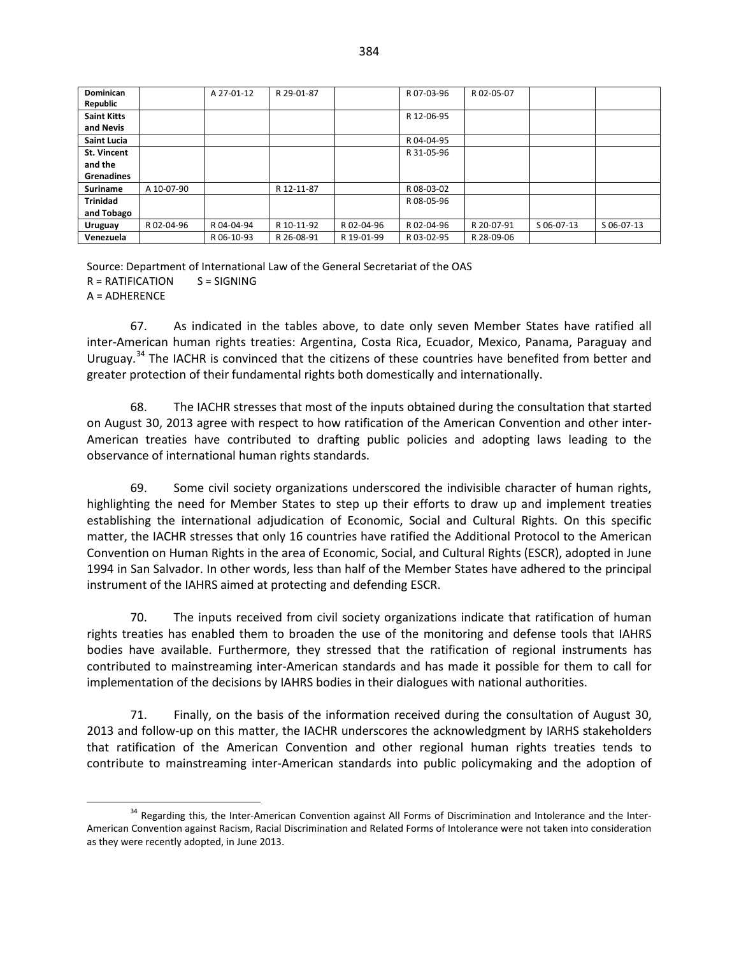| Dominican          |            | A 27-01-12 | R 29-01-87 |            | R07-03-96  | R 02-05-07 |            |            |
|--------------------|------------|------------|------------|------------|------------|------------|------------|------------|
| Republic           |            |            |            |            |            |            |            |            |
| <b>Saint Kitts</b> |            |            |            |            | R 12-06-95 |            |            |            |
| and Nevis          |            |            |            |            |            |            |            |            |
| <b>Saint Lucia</b> |            |            |            |            | R 04-04-95 |            |            |            |
| <b>St. Vincent</b> |            |            |            |            | R 31-05-96 |            |            |            |
| and the            |            |            |            |            |            |            |            |            |
| <b>Grenadines</b>  |            |            |            |            |            |            |            |            |
| <b>Suriname</b>    | A 10-07-90 |            | R 12-11-87 |            | R 08-03-02 |            |            |            |
| <b>Trinidad</b>    |            |            |            |            | R 08-05-96 |            |            |            |
| and Tobago         |            |            |            |            |            |            |            |            |
| Uruguay            | R 02-04-96 | R 04-04-94 | R 10-11-92 | R 02-04-96 | R 02-04-96 | R 20-07-91 | S 06-07-13 | S 06-07-13 |
| Venezuela          |            | R 06-10-93 | R 26-08-91 | R 19-01-99 | R 03-02-95 | R 28-09-06 |            |            |

Source: Department of International Law of the General Secretariat of the OAS  $R = RATIFICATION$   $S = SIGNING$ A = ADHERENCE

67. As indicated in the tables above, to date only seven Member States have ratified all inter-American human rights treaties: Argentina, Costa Rica, Ecuador, Mexico, Panama, Paraguay and Uruguay.<sup>[34](#page-25-0)</sup> The IACHR is convinced that the citizens of these countries have benefited from better and greater protection of their fundamental rights both domestically and internationally.

68. The IACHR stresses that most of the inputs obtained during the consultation that started on August 30, 2013 agree with respect to how ratification of the American Convention and other inter-American treaties have contributed to drafting public policies and adopting laws leading to the observance of international human rights standards.

69. Some civil society organizations underscored the indivisible character of human rights, highlighting the need for Member States to step up their efforts to draw up and implement treaties establishing the international adjudication of Economic, Social and Cultural Rights. On this specific matter, the IACHR stresses that only 16 countries have ratified the Additional Protocol to the American Convention on Human Rights in the area of Economic, Social, and Cultural Rights (ESCR), adopted in June 1994 in San Salvador. In other words, less than half of the Member States have adhered to the principal instrument of the IAHRS aimed at protecting and defending ESCR.

70. The inputs received from civil society organizations indicate that ratification of human rights treaties has enabled them to broaden the use of the monitoring and defense tools that IAHRS bodies have available. Furthermore, they stressed that the ratification of regional instruments has contributed to mainstreaming inter-American standards and has made it possible for them to call for implementation of the decisions by IAHRS bodies in their dialogues with national authorities.

71. Finally, on the basis of the information received during the consultation of August 30, 2013 and follow-up on this matter, the IACHR underscores the acknowledgment by IARHS stakeholders that ratification of the American Convention and other regional human rights treaties tends to contribute to mainstreaming inter-American standards into public policymaking and the adoption of

<span id="page-25-0"></span><sup>&</sup>lt;sup>34</sup> Regarding this, the Inter-American Convention against All Forms of Discrimination and Intolerance and the Inter-American Convention against Racism, Racial Discrimination and Related Forms of Intolerance were not taken into consideration as they were recently adopted, in June 2013.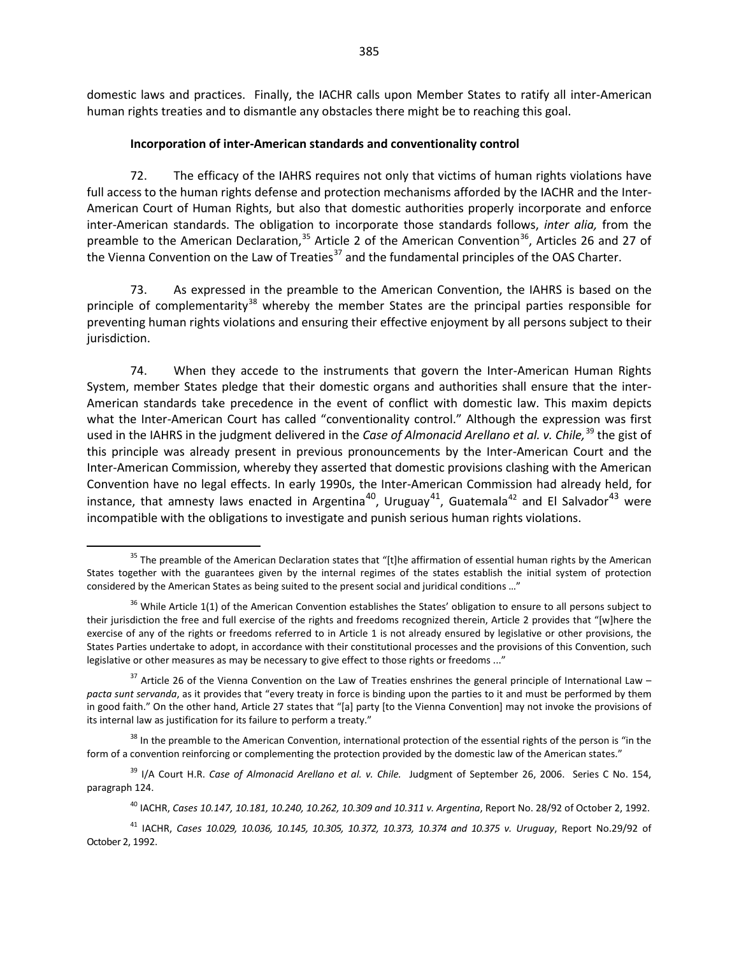domestic laws and practices. Finally, the IACHR calls upon Member States to ratify all inter-American human rights treaties and to dismantle any obstacles there might be to reaching this goal.

#### **Incorporation of inter-American standards and conventionality control**

72. The efficacy of the IAHRS requires not only that victims of human rights violations have full access to the human rights defense and protection mechanisms afforded by the IACHR and the Inter-American Court of Human Rights, but also that domestic authorities properly incorporate and enforce inter-American standards. The obligation to incorporate those standards follows, *inter alia,* from the preamble to the American Declaration,  $35$  Article 2 of the American Convention  $36$ , Articles 26 and 27 of the Vienna Convention on the Law of Treaties<sup>[37](#page-26-2)</sup> and the fundamental principles of the OAS Charter.

73. As expressed in the preamble to the American Convention, the IAHRS is based on the principle of complementarity<sup>[38](#page-26-3)</sup> whereby the member States are the principal parties responsible for preventing human rights violations and ensuring their effective enjoyment by all persons subject to their jurisdiction.

74. When they accede to the instruments that govern the Inter-American Human Rights System, member States pledge that their domestic organs and authorities shall ensure that the inter-American standards take precedence in the event of conflict with domestic law. This maxim depicts what the Inter-American Court has called "conventionality control." Although the expression was first used in the IAHRS in the judgment delivered in the *Case of Almonacid Arellano et al. v. Chile*,<sup>[39](#page-26-4)</sup> the gist of this principle was already present in previous pronouncements by the Inter-American Court and the Inter-American Commission, whereby they asserted that domestic provisions clashing with the American Convention have no legal effects. In early 1990s, the Inter-American Commission had already held, for instance, that amnesty laws enacted in Argentina<sup>[40](#page-26-5)</sup>, Uruguay<sup>41</sup>, Guatemala<sup>42</sup> and El Salvador<sup>[43](#page-26-8)</sup> were incompatible with the obligations to investigate and punish serious human rights violations.

<span id="page-26-0"></span><sup>&</sup>lt;sup>35</sup> The preamble of the American Declaration states that "[t]he affirmation of essential human rights by the American States together with the guarantees given by the internal regimes of the states establish the initial system of protection considered by the American States as being suited to the present social and juridical conditions …"

<span id="page-26-7"></span><span id="page-26-1"></span> $36$  While Article 1(1) of the American Convention establishes the States' obligation to ensure to all persons subject to their jurisdiction the free and full exercise of the rights and freedoms recognized therein, Article 2 provides that "[w]here the exercise of any of the rights or freedoms referred to in Article 1 is not already ensured by legislative or other provisions, the States Parties undertake to adopt, in accordance with their constitutional processes and the provisions of this Convention, such legislative or other measures as may be necessary to give effect to those rights or freedoms ..."

<span id="page-26-8"></span><span id="page-26-2"></span> $37$  Article 26 of the Vienna Convention on the Law of Treaties enshrines the general principle of International Law – *pacta sunt servanda*, as it provides that "every treaty in force is binding upon the parties to it and must be performed by them in good faith." On the other hand, Article 27 states that "[a] party [to the Vienna Convention] may not invoke the provisions of its internal law as justification for its failure to perform a treaty."

<span id="page-26-3"></span> $38$  In the preamble to the American Convention, international protection of the essential rights of the person is "in the form of a convention reinforcing or complementing the protection provided by the domestic law of the American states."

<span id="page-26-4"></span><sup>&</sup>lt;sup>39</sup> I/A Court H.R. *Case of Almonacid Arellano et al. v. Chile.* Judgment of September 26, 2006. Series C No. 154, paragraph 124.

<sup>40</sup> IACHR, *Cases 10.147, 10.181, 10.240, 10.262, 10.309 and 10.311 v. Argentina*, Report No. 28/92 of October 2, 1992.

<span id="page-26-6"></span><span id="page-26-5"></span><sup>41</sup> IACHR, *Cases 10.029, 10.036, 10.145, 10.305, 10.372, 10.373, 10.374 and 10.375 v. Uruguay*, Report No.29/92 of October 2, 1992.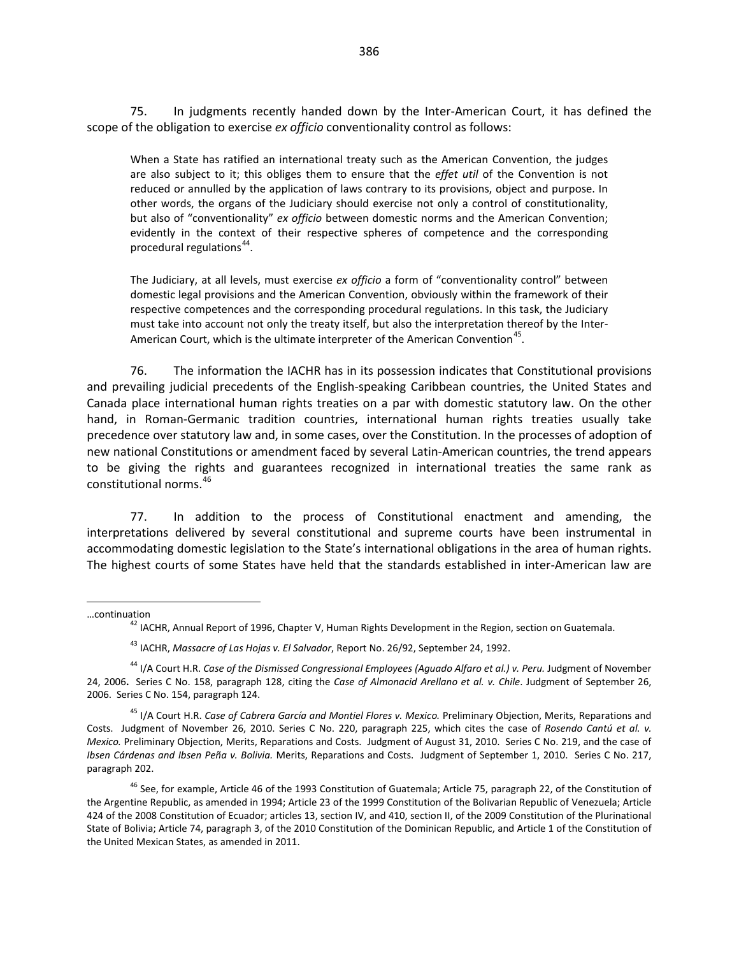75. In judgments recently handed down by the Inter-American Court, it has defined the scope of the obligation to exercise *ex officio* conventionality control as follows:

When a State has ratified an international treaty such as the American Convention, the judges are also subject to it; this obliges them to ensure that the *effet util* of the Convention is not reduced or annulled by the application of laws contrary to its provisions, object and purpose. In other words, the organs of the Judiciary should exercise not only a control of constitutionality, but also of "conventionality" *ex officio* between domestic norms and the American Convention; evidently in the context of their respective spheres of competence and the corresponding procedural regulations<sup>[44](#page-27-0)</sup>.

The Judiciary, at all levels, must exercise *ex officio* a form of "conventionality control" between domestic legal provisions and the American Convention, obviously within the framework of their respective competences and the corresponding procedural regulations. In this task, the Judiciary must take into account not only the treaty itself, but also the interpretation thereof by the Inter-American Court, which is the ultimate interpreter of the American Convention<sup>[45](#page-27-1)</sup>.

76. The information the IACHR has in its possession indicates that Constitutional provisions and prevailing judicial precedents of the English-speaking Caribbean countries, the United States and Canada place international human rights treaties on a par with domestic statutory law. On the other hand, in Roman-Germanic tradition countries, international human rights treaties usually take precedence over statutory law and, in some cases, over the Constitution. In the processes of adoption of new national Constitutions or amendment faced by several Latin-American countries, the trend appears to be giving the rights and guarantees recognized in international treaties the same rank as constitutional norms.[46](#page-27-2)

77. In addition to the process of Constitutional enactment and amending, the interpretations delivered by several constitutional and supreme courts have been instrumental in accommodating domestic legislation to the State's international obligations in the area of human rights. The highest courts of some States have held that the standards established in inter-American law are

 $\overline{a}$ 

<sup>…</sup>continuation <sup>42</sup> IACHR, Annual Report of 1996, Chapter V, Human Rights Development in the Region, section on Guatemala.

<sup>43</sup> IACHR, *Massacre of Las Hojas v. El Salvador*, Report No. 26/92, September 24, 1992.

<span id="page-27-0"></span><sup>44</sup> I/A Court H.R. *Case of the Dismissed Congressional Employees (Aguado Alfaro et al.) v. Peru.* Judgment of November 24, 2006**.** Series C No. 158, paragraph 128, citing the *Case of Almonacid Arellano et al. v. Chile*. Judgment of September 26, 2006. Series C No. 154, paragraph 124.

<span id="page-27-1"></span><sup>45</sup> I/A Court H.R. *Case of Cabrera García and Montiel Flores v. Mexico.* Preliminary Objection, Merits, Reparations and Costs. Judgment of November 26, 2010. Series C No. 220, paragraph 225, which cites the case of *Rosendo Cantú et al. v. Mexico.* Preliminary Objection, Merits, Reparations and Costs. Judgment of August 31, 2010. Series C No. 219, and the case of *Ibsen Cárdenas and Ibsen Peña v. Bolivia.* Merits, Reparations and Costs. Judgment of September 1, 2010. Series C No. 217, paragraph 202.

<span id="page-27-2"></span><sup>&</sup>lt;sup>46</sup> See, for example, Article 46 of the 1993 Constitution of Guatemala; Article 75, paragraph 22, of the Constitution of the Argentine Republic, as amended in 1994; Article 23 of the 1999 Constitution of the Bolivarian Republic of Venezuela; Article 424 of the 2008 Constitution of Ecuador; articles 13, section IV, and 410, section II, of the 2009 Constitution of the Plurinational State of Bolivia; Article 74, paragraph 3, of the 2010 Constitution of the Dominican Republic, and Article 1 of the Constitution of the United Mexican States, as amended in 2011.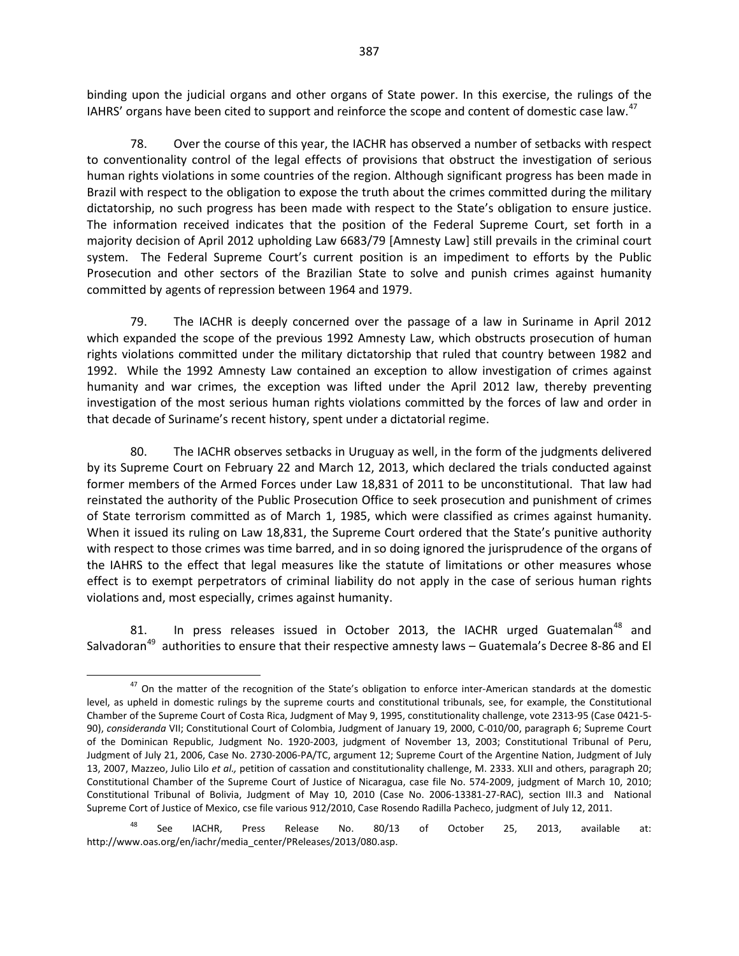binding upon the judicial organs and other organs of State power. In this exercise, the rulings of the IAHRS' organs have been cited to support and reinforce the scope and content of domestic case law.<sup>[47](#page-28-0)</sup>

78. Over the course of this year, the IACHR has observed a number of setbacks with respect to conventionality control of the legal effects of provisions that obstruct the investigation of serious human rights violations in some countries of the region. Although significant progress has been made in Brazil with respect to the obligation to expose the truth about the crimes committed during the military dictatorship, no such progress has been made with respect to the State's obligation to ensure justice. The information received indicates that the position of the Federal Supreme Court, set forth in a majority decision of April 2012 upholding Law 6683/79 [Amnesty Law] still prevails in the criminal court system. The Federal Supreme Court's current position is an impediment to efforts by the Public Prosecution and other sectors of the Brazilian State to solve and punish crimes against humanity committed by agents of repression between 1964 and 1979.

79. The IACHR is deeply concerned over the passage of a law in Suriname in April 2012 which expanded the scope of the previous 1992 Amnesty Law, which obstructs prosecution of human rights violations committed under the military dictatorship that ruled that country between 1982 and 1992. While the 1992 Amnesty Law contained an exception to allow investigation of crimes against humanity and war crimes, the exception was lifted under the April 2012 law, thereby preventing investigation of the most serious human rights violations committed by the forces of law and order in that decade of Suriname's recent history, spent under a dictatorial regime.

80. The IACHR observes setbacks in Uruguay as well, in the form of the judgments delivered by its Supreme Court on February 22 and March 12, 2013, which declared the trials conducted against former members of the Armed Forces under Law 18,831 of 2011 to be unconstitutional. That law had reinstated the authority of the Public Prosecution Office to seek prosecution and punishment of crimes of State terrorism committed as of March 1, 1985, which were classified as crimes against humanity. When it issued its ruling on Law 18,831, the Supreme Court ordered that the State's punitive authority with respect to those crimes was time barred, and in so doing ignored the jurisprudence of the organs of the IAHRS to the effect that legal measures like the statute of limitations or other measures whose effect is to exempt perpetrators of criminal liability do not apply in the case of serious human rights violations and, most especially, crimes against humanity.

81. In press releases issued in October 2013, the IACHR urged Guatemalan<sup>[48](#page-28-1)</sup> and Salvadoran<sup>[49](#page-28-1)</sup> authorities to ensure that their respective amnesty laws – Guatemala's Decree 8-86 and El

<span id="page-28-0"></span> $47$  On the matter of the recognition of the State's obligation to enforce inter-American standards at the domestic level, as upheld in domestic rulings by the supreme courts and constitutional tribunals, see, for example, the Constitutional Chamber of the Supreme Court of Costa Rica, Judgment of May 9, 1995, constitutionality challenge, vote 2313-95 (Case 0421-5- 90), *consideranda* VII; Constitutional Court of Colombia, Judgment of January 19, 2000, C-010/00, paragraph 6; Supreme Court of the Dominican Republic, Judgment No. 1920-2003, judgment of November 13, 2003; Constitutional Tribunal of Peru, Judgment of July 21, 2006, Case No. 2730-2006-PA/TC, argument 12; Supreme Court of the Argentine Nation, Judgment of July 13, 2007, Mazzeo, Julio Lilo *et al.,* petition of cassation and constitutionality challenge, M. 2333. XLII and others, paragraph 20; Constitutional Chamber of the Supreme Court of Justice of Nicaragua, case file No. 574-2009, judgment of March 10, 2010; Constitutional Tribunal of Bolivia, Judgment of May 10, 2010 (Case No. 2006-13381-27-RAC), section III.3 and National Supreme Cort of Justice of Mexico, cse file various 912/2010, Case Rosendo Radilla Pacheco, judgment of July 12, 2011.

<span id="page-28-1"></span><sup>&</sup>lt;sup>48</sup> See IACHR, Press Release No. 80/13 of October 25, 2013, available at: http://www.oas.org/en/iachr/media\_center/PReleases/2013/080.asp.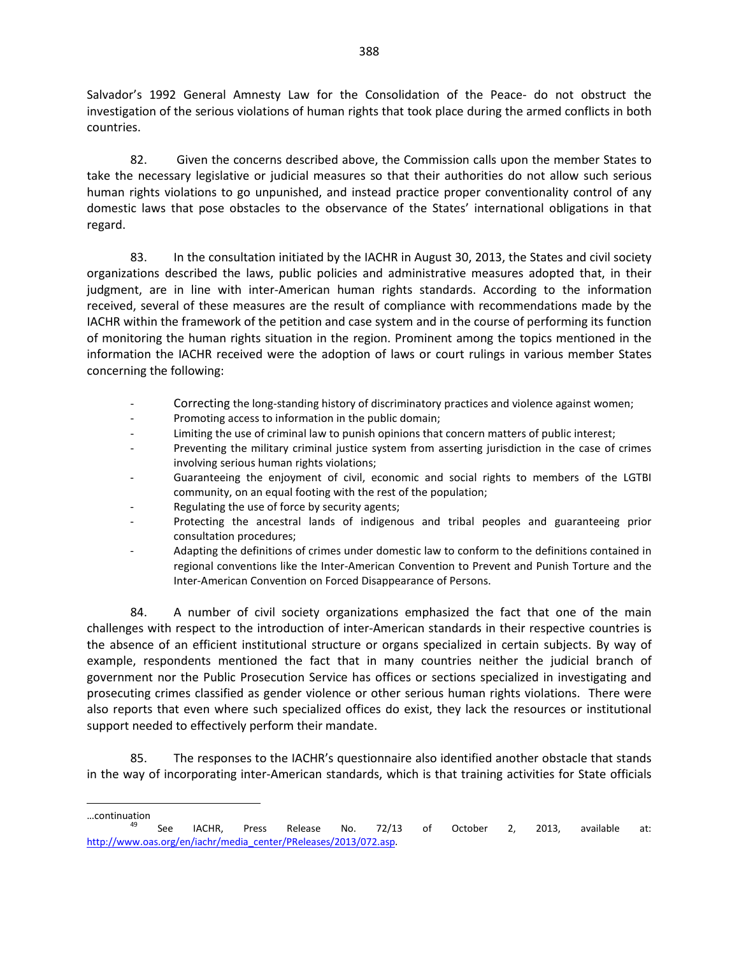Salvador's 1992 General Amnesty Law for the Consolidation of the Peace- do not obstruct the investigation of the serious violations of human rights that took place during the armed conflicts in both countries.

82. Given the concerns described above, the Commission calls upon the member States to take the necessary legislative or judicial measures so that their authorities do not allow such serious human rights violations to go unpunished, and instead practice proper conventionality control of any domestic laws that pose obstacles to the observance of the States' international obligations in that regard.

83. In the consultation initiated by the IACHR in August 30, 2013, the States and civil society organizations described the laws, public policies and administrative measures adopted that, in their judgment, are in line with inter-American human rights standards. According to the information received, several of these measures are the result of compliance with recommendations made by the IACHR within the framework of the petition and case system and in the course of performing its function of monitoring the human rights situation in the region. Prominent among the topics mentioned in the information the IACHR received were the adoption of laws or court rulings in various member States concerning the following:

- Correcting the long-standing history of discriminatory practices and violence against women;
- Promoting access to information in the public domain;
- Limiting the use of criminal law to punish opinions that concern matters of public interest;
- Preventing the military criminal justice system from asserting jurisdiction in the case of crimes involving serious human rights violations;
- Guaranteeing the enjoyment of civil, economic and social rights to members of the LGTBI community, on an equal footing with the rest of the population;
- Regulating the use of force by security agents;

j

- Protecting the ancestral lands of indigenous and tribal peoples and guaranteeing prior consultation procedures;
- Adapting the definitions of crimes under domestic law to conform to the definitions contained in regional conventions like the Inter-American Convention to Prevent and Punish Torture and the Inter-American Convention on Forced Disappearance of Persons.

84. A number of civil society organizations emphasized the fact that one of the main challenges with respect to the introduction of inter-American standards in their respective countries is the absence of an efficient institutional structure or organs specialized in certain subjects. By way of example, respondents mentioned the fact that in many countries neither the judicial branch of government nor the Public Prosecution Service has offices or sections specialized in investigating and prosecuting crimes classified as gender violence or other serious human rights violations. There were also reports that even where such specialized offices do exist, they lack the resources or institutional support needed to effectively perform their mandate.

85. The responses to the IACHR's questionnaire also identified another obstacle that stands in the way of incorporating inter-American standards, which is that training activities for State officials

<sup>…</sup>continuation <sup>49</sup> See IACHR, Press Release No. 72/13 of October 2, 2013, available at: [http://www.oas.org/en/iachr/media\\_center/PReleases/2013/072.asp.](http://www.oas.org/en/iachr/media_center/PReleases/2013/072.asp)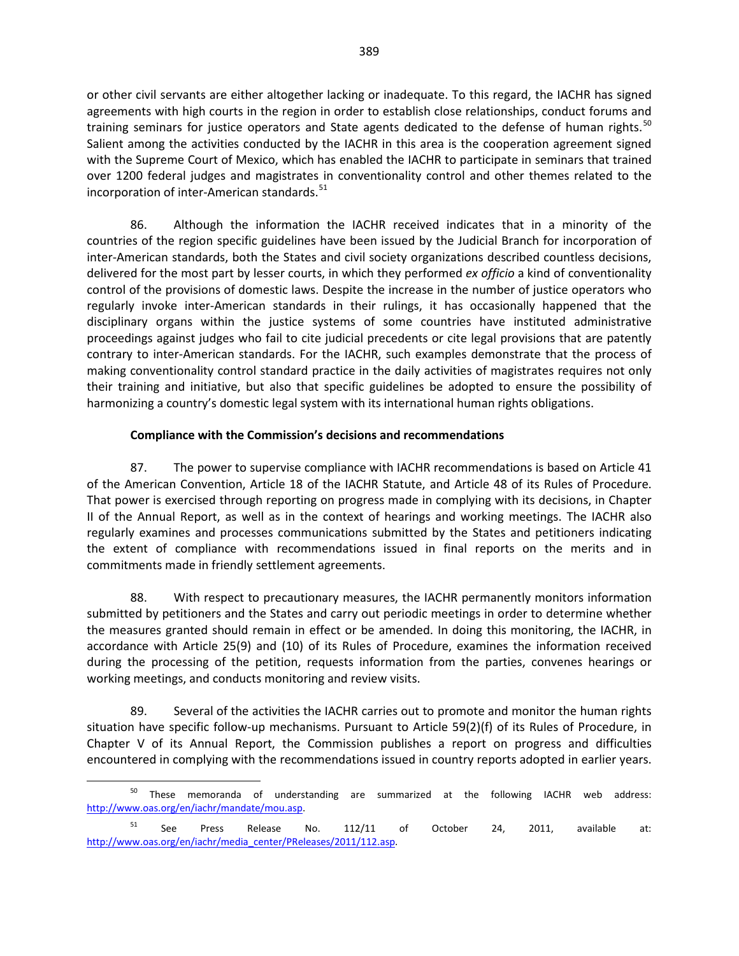or other civil servants are either altogether lacking or inadequate. To this regard, the IACHR has signed agreements with high courts in the region in order to establish close relationships, conduct forums and training seminars for justice operators and State agents dedicated to the defense of human rights.<sup>[50](#page-30-0)</sup> Salient among the activities conducted by the IACHR in this area is the cooperation agreement signed with the Supreme Court of Mexico, which has enabled the IACHR to participate in seminars that trained over 1200 federal judges and magistrates in conventionality control and other themes related to the incorporation of inter-American standards.<sup>[51](#page-30-1)</sup>

86. Although the information the IACHR received indicates that in a minority of the countries of the region specific guidelines have been issued by the Judicial Branch for incorporation of inter-American standards, both the States and civil society organizations described countless decisions, delivered for the most part by lesser courts, in which they performed *ex officio* a kind of conventionality control of the provisions of domestic laws. Despite the increase in the number of justice operators who regularly invoke inter-American standards in their rulings, it has occasionally happened that the disciplinary organs within the justice systems of some countries have instituted administrative proceedings against judges who fail to cite judicial precedents or cite legal provisions that are patently contrary to inter-American standards. For the IACHR, such examples demonstrate that the process of making conventionality control standard practice in the daily activities of magistrates requires not only their training and initiative, but also that specific guidelines be adopted to ensure the possibility of harmonizing a country's domestic legal system with its international human rights obligations.

### **Compliance with the Commission's decisions and recommendations**

87. The power to supervise compliance with IACHR recommendations is based on Article 41 of the American Convention, Article 18 of the IACHR Statute, and Article 48 of its Rules of Procedure. That power is exercised through reporting on progress made in complying with its decisions, in Chapter II of the Annual Report, as well as in the context of hearings and working meetings. The IACHR also regularly examines and processes communications submitted by the States and petitioners indicating the extent of compliance with recommendations issued in final reports on the merits and in commitments made in friendly settlement agreements.

88. With respect to precautionary measures, the IACHR permanently monitors information submitted by petitioners and the States and carry out periodic meetings in order to determine whether the measures granted should remain in effect or be amended. In doing this monitoring, the IACHR, in accordance with Article 25(9) and (10) of its Rules of Procedure, examines the information received during the processing of the petition, requests information from the parties, convenes hearings or working meetings, and conducts monitoring and review visits.

89. Several of the activities the IACHR carries out to promote and monitor the human rights situation have specific follow-up mechanisms. Pursuant to Article 59(2)(f) of its Rules of Procedure, in Chapter V of its Annual Report, the Commission publishes a report on progress and difficulties encountered in complying with the recommendations issued in country reports adopted in earlier years.

<span id="page-30-0"></span><sup>&</sup>lt;sup>50</sup> These memoranda of understanding are summarized at the following IACHR web address: [http://www.oas.org/en/iachr/mandate/mou.asp.](http://www.oas.org/en/iachr/mandate/mou.asp)

<span id="page-30-1"></span> $51$  See Press Release No. 112/11 of October 24, 2011, available at: [http://www.oas.org/en/iachr/media\\_center/PReleases/2011/112.asp.](http://www.oas.org/en/iachr/media_center/PReleases/2011/112.asp)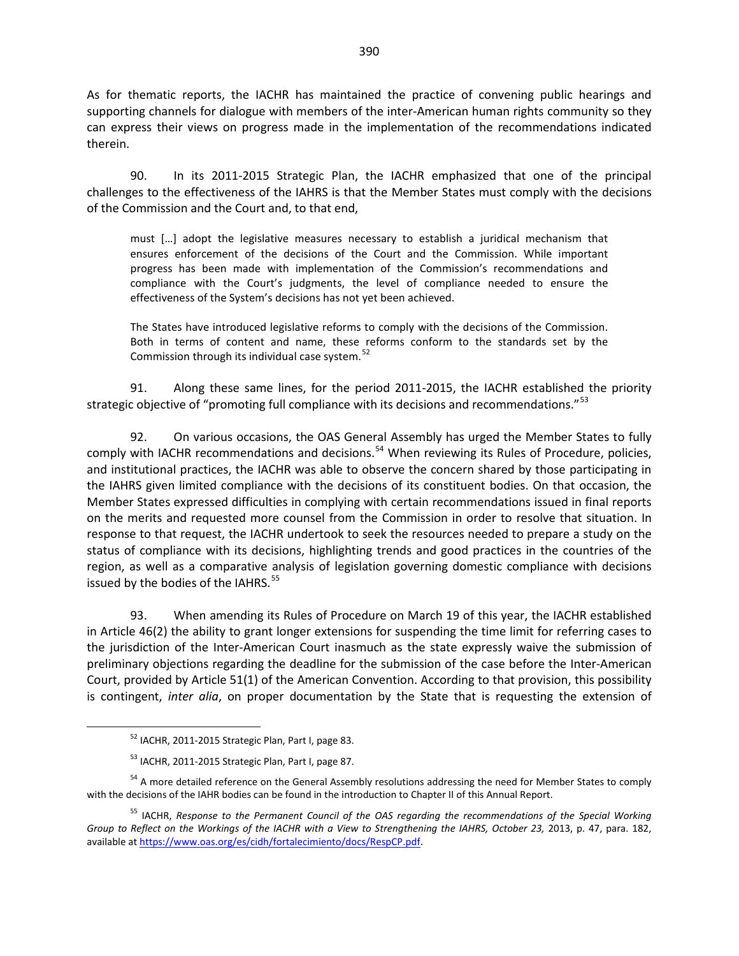As for thematic reports, the IACHR has maintained the practice of convening public hearings and supporting channels for dialogue with members of the inter-American human rights community so they can express their views on progress made in the implementation of the recommendations indicated therein.

90. In its 2011-2015 Strategic Plan, the IACHR emphasized that one of the principal challenges to the effectiveness of the IAHRS is that the Member States must comply with the decisions of the Commission and the Court and, to that end,

must […] adopt the legislative measures necessary to establish a juridical mechanism that ensures enforcement of the decisions of the Court and the Commission. While important progress has been made with implementation of the Commission's recommendations and compliance with the Court's judgments, the level of compliance needed to ensure the effectiveness of the System's decisions has not yet been achieved.

The States have introduced legislative reforms to comply with the decisions of the Commission. Both in terms of content and name, these reforms conform to the standards set by the Commission through its individual case system.<sup>[52](#page-31-0)</sup>

91. Along these same lines, for the period 2011-2015, the IACHR established the priority strategic objective of "promoting full compliance with its decisions and recommendations."<sup>[53](#page-31-1)</sup>

92. On various occasions, the OAS General Assembly has urged the Member States to fully comply with IACHR recommendations and decisions.<sup>[54](#page-31-2)</sup> When reviewing its Rules of Procedure, policies, and institutional practices, the IACHR was able to observe the concern shared by those participating in the IAHRS given limited compliance with the decisions of its constituent bodies. On that occasion, the Member States expressed difficulties in complying with certain recommendations issued in final reports on the merits and requested more counsel from the Commission in order to resolve that situation. In response to that request, the IACHR undertook to seek the resources needed to prepare a study on the status of compliance with its decisions, highlighting trends and good practices in the countries of the region, as well as a comparative analysis of legislation governing domestic compliance with decisions issued by the bodies of the IAHRS.<sup>[55](#page-31-3)</sup>

93. When amending its Rules of Procedure on March 19 of this year, the IACHR established in Article 46(2) the ability to grant longer extensions for suspending the time limit for referring cases to the jurisdiction of the Inter-American Court inasmuch as the state expressly waive the submission of preliminary objections regarding the deadline for the submission of the case before the Inter-American Court, provided by Article 51(1) of the American Convention. According to that provision, this possibility is contingent, *inter alia*, on proper documentation by the State that is requesting the extension of

<sup>52</sup> IACHR, 2011-2015 Strategic Plan, Part I, page 83.

<sup>53</sup> IACHR, 2011-2015 Strategic Plan, Part I, page 87.

<span id="page-31-2"></span><span id="page-31-1"></span><span id="page-31-0"></span><sup>&</sup>lt;sup>54</sup> A more detailed reference on the General Assembly resolutions addressing the need for Member States to comply with the decisions of the IAHR bodies can be found in the introduction to Chapter II of this Annual Report.

<span id="page-31-3"></span><sup>55</sup> IACHR, *Response to the Permanent Council of the OAS regarding the recommendations of the Special Working*  Group to Reflect on the Workings of the IACHR with a View to Strengthening the IAHRS, October 23, 2013, p. 47, para. 182, available at [https://www.oas.org/es/cidh/fortalecimiento/docs/RespCP.pdf.](https://www.oas.org/es/cidh/fortalecimiento/docs/RespCP.pdf)